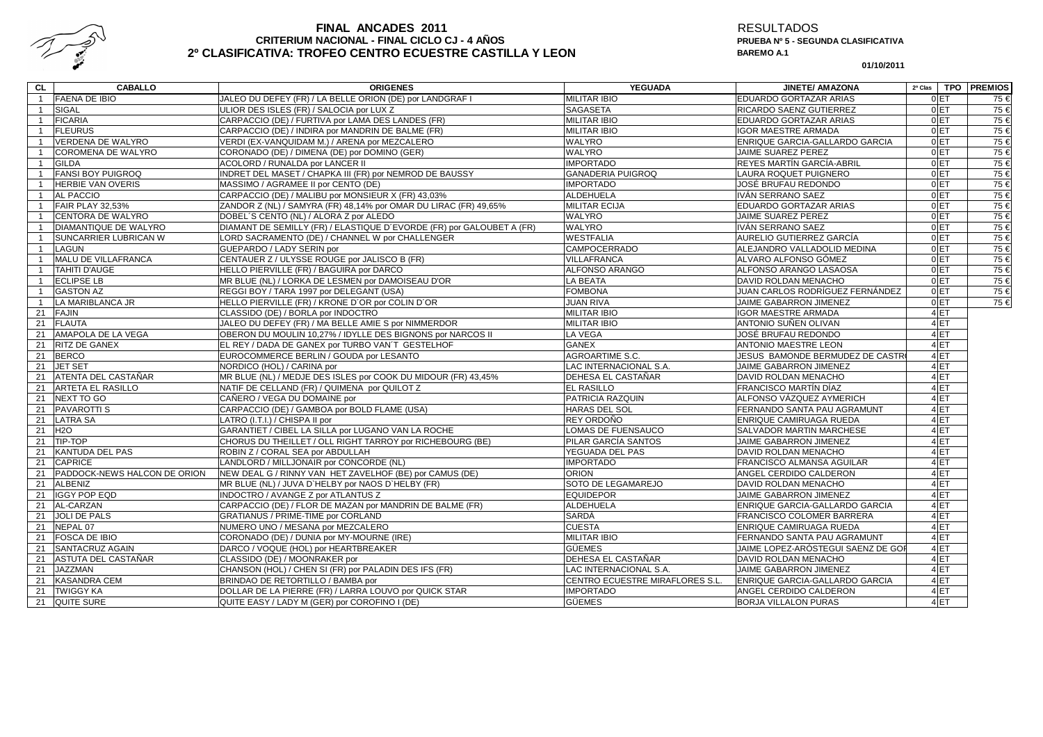

# FINAL ANCADES 2011<br>CRITERIUM NACIONAL - FINAL CICLO CJ - 4 AÑOS<br>CLASIFICATIVA: TROFEO CENTRO ECUESTRE CASTILLA Y LEON

RESULTADOS **PRUEBA Nº 5 - SEGUNDA CLASIFICATIVABAREMO A.1**

**01/10/2011**

| CL.            | <b>CABALLO</b>               | <b>ORIGENES</b>                                                       | <b>YEGUADA</b>                  | <b>JINETE/ AMAZONA</b>             | 2ª Clas         | TPO PREMIOS |
|----------------|------------------------------|-----------------------------------------------------------------------|---------------------------------|------------------------------------|-----------------|-------------|
| $\mathbf{1}$   | <b>FAENA DE IBIO</b>         | JALEO DU DEFEY (FR) / LA BELLE ORION (DE) por LANDGRAF I              | <b>MILITAR IBIO</b>             | EDUARDO GORTAZAR ARIAS             | 0E              | 75 €        |
| $\mathbf{1}$   | <b>SIGAL</b>                 | ULIOR DES ISLES (FR) / SALOCIA por LUX Z                              | <b>SAGASETA</b>                 | RICARDO SAENZ GUTIERREZ            | 0 <sub>ET</sub> | 75 €        |
| $\mathbf{1}$   | <b>FICARIA</b>               | CARPACCIO (DE) / FURTIVA por LAMA DES LANDES (FR)                     | <b>MILITAR IBIO</b>             | EDUARDO GORTAZAR ARIAS             | 0 <sub>ET</sub> | 75 €        |
| $\mathbf{1}$   | <b>FLEURUS</b>               | CARPACCIO (DE) / INDIRA por MANDRIN DE BALME (FR)                     | <b>MILITAR IBIO</b>             | <b>IGOR MAESTRE ARMADA</b>         | 0E              | 75 €        |
| $\mathbf{1}$   | VERDENA DE WALYRO            | VERDI (EX-VANQUIDAM M.) / ARENA por MEZCALERO                         | <b>WALYRO</b>                   | ENRIQUE GARCIA-GALLARDO GARCIA     | 0 <sub>ET</sub> | 75 €        |
| $\mathbf{1}$   | COROMENA DE WALYRO           | CORONADO (DE) / DIMENA (DE) por DOMINO (GER)                          | <b>WALYRO</b>                   | JAIME SUAREZ PEREZ                 | 0E              | 75 €        |
| $\mathbf{1}$   | <b>GILDA</b>                 | ACOLORD / RUNALDA por LANCER II                                       | <b>IMPORTADO</b>                | REYES MARTÍN GARCÍA-ABRIL          | 0 <sub>ET</sub> | 75 €        |
| -1             | <b>FANSI BOY PUIGROQ</b>     | INDRET DEL MASET / CHAPKA III (FR) por NEMROD DE BAUSSY               | <b>GANADERIA PUIGROQ</b>        | LAURA ROQUET PUIGNERO              | 0ET             | 75 €        |
| -1             | <b>HERBIE VAN OVERIS</b>     | MASSIMO / AGRAMEE II por CENTO (DE)                                   | <b>IMPORTADO</b>                | JOSÉ BRUFAU REDONDO                | 0ET             | 75 €        |
| $\mathbf{1}$   | AL PACCIO                    | CARPACCIO (DE) / MALIBU por MONSIEUR X (FR) 43,03%                    | <b>ALDEHUELA</b>                | IVÁN SERRANO SAEZ                  | 0ET             | 75 €        |
| $\mathbf{1}$   | <b>FAIR PLAY 32,53%</b>      | ZANDOR Z (NL) / SAMYRA (FR) 48,14% por OMAR DU LIRAC (FR) 49,65%      | <b>MILITAR ECIJA</b>            | EDUARDO GORTAZAR ARIAS             | 0ET             | 75 €        |
| $\mathbf{1}$   | CENTORA DE WALYRO            | DOBEL'S CENTO (NL) / ALORA Z por ALEDO                                | WALYRO                          | JAIME SUAREZ PEREZ                 | 0ET             | $75 \in$    |
| $\overline{1}$ | DIAMANTIQUE DE WALYRO        | DIAMANT DE SEMILLY (FR) / ELASTIQUE D'EVORDE (FR) por GALOUBET A (FR) | <b>WALYRO</b>                   | <b>IVÁN SERRANO SAEZ</b>           | 0ET             | 75 €        |
| $\overline{1}$ | SUNCARRIER LUBRICAN W        | LORD SACRAMENTO (DE) / CHANNEL W por CHALLENGER                       | <b>WESTFALIA</b>                | AURELIO GUTIERREZ GARCÍA           | 0E              | $75 \in$    |
| $\mathbf{1}$   | LAGUN                        | GUEPARDO / LADY SERIN por                                             | <b>CAMPOCERRADO</b>             | ALEJANDRO VALLADOLID MEDINA        | 0ET             | $75 \in$    |
| $\mathbf{1}$   | MALU DE VILLAFRANCA          | CENTAUER Z / ULYSSE ROUGE por JALISCO B (FR)                          | VILLAFRANCA                     | ALVARO ALFONSO GÓMEZ               | 0ET             | $75 \in$    |
| $\overline{1}$ | <b>TAHITI D'AUGE</b>         | HELLO PIERVILLE (FR) / BAGUIRA por DARCO                              | ALFONSO ARANGO                  | ALFONSO ARANGO LASAOSA             | 0ET             | 75 €        |
| $\overline{1}$ | <b>ECLIPSE LB</b>            | MR BLUE (NL) / LORKA DE LESMEN por DAMOISEAU D'OR                     | <b>LA BEATA</b>                 | DAVID ROLDAN MENACHO               | 0 ET            | 75 €        |
| $\overline{1}$ | <b>GASTON AZ</b>             | REGGI BOY / TARA 1997 por DELEGANT (USA)                              | <b>FOMBONA</b>                  | JUAN CARLOS RODRÍGUEZ FERNÁNDEZ    | 0ET             | 75 €        |
| $\overline{1}$ | LA MARIBLANCA JR             | HELLO PIERVILLE (FR) / KRONE D'OR por COLIN D'OR                      | <b>JUAN RIVA</b>                | JAIME GABARRON JIMENEZ             | 0 <sub>ET</sub> | 75 €        |
| 21             | FAJIN                        | CLASSIDO (DE) / BORLA por INDOCTRO                                    | <b>MILITAR IBIO</b>             | <b>IGOR MAESTRE ARMADA</b>         | 4 <sub>ET</sub> |             |
| 21             | <b>FLAUTA</b>                | JALEO DU DEFEY (FR) / MA BELLE AMIE S por NIMMERDOR                   | <b>MILITAR IBIO</b>             | ANTONIO SUÑEN OLIVAN               | 4 <sub>ET</sub> |             |
| 21             | AMAPOLA DE LA VEGA           | OBERON DU MOULIN 10,27% / IDYLLE DES BIGNONS por NARCOS II            | <b>LA VEGA</b>                  | JOSÉ BRUFAU REDONDO                | 4 <sub>ET</sub> |             |
| 21             | RITZ DE GANEX                | EL REY / DADA DE GANEX por TURBO VAN'T GESTELHOF                      | <b>GANEX</b>                    | <b>ANTONIO MAESTRE LEON</b>        | 4ET             |             |
| 21             | <b>BERCO</b>                 | EUROCOMMERCE BERLIN / GOUDA por LESANTO                               | AGROARTIME S.C.                 | JESUS BAMONDE BERMUDEZ DE CASTRO   | 4 <sub>ET</sub> |             |
| 21             | <b>JET SET</b>               | NORDICO (HOL) / CARINA por                                            | LAC INTERNACIONAL S.A.          | JAIME GABARRON JIMENEZ             | 4 <sub>ET</sub> |             |
| 21             | ATENTA DEL CASTAÑAR          | MR BLUE (NL) / MEDJE DES ISLES por COOK DU MIDOUR (FR) 43,45%         | DEHESA EL CASTAÑAR              | DAVID ROLDAN MENACHO               | 4 <sub>ET</sub> |             |
| 21             | ARTETA EL RASILLO            | NATIF DE CELLAND (FR) / QUIMENA por QUILOT Z                          | <b>EL RASILLO</b>               | FRANCISCO MARTÍN DÍAZ              | 4 <sub>ET</sub> |             |
| 21             | <b>NEXT TO GO</b>            | CAÑERO / VEGA DU DOMAINE por                                          | PATRICIA RAZQUIN                | ALFONSO VÁZQUEZ AYMERICH           | 4 <sub>ET</sub> |             |
| 21             | <b>PAVAROTTI S</b>           | CARPACCIO (DE) / GAMBOA por BOLD FLAME (USA)                          | HARAS DEL SOL                   | FERNANDO SANTA PAU AGRAMUNT        | 4 <sub>ET</sub> |             |
| 21             | <b>LATRA SA</b>              | LATRO (I.T.I.) / CHISPA II por                                        | REY ORDOÑO                      | ENRIQUE CAMIRUAGA RUEDA            | 4ET             |             |
| 21             | <b>H2O</b>                   | GARANTIET / CIBEL LA SILLA por LUGANO VAN LA ROCHE                    | <b>LOMAS DE FUENSAUCO</b>       | SALVADOR MARTIN MARCHESE           | 4 <sub>ET</sub> |             |
| 21             | TIP-TOP                      | CHORUS DU THEILLET / OLL RIGHT TARROY por RICHEBOURG (BE)             | PILAR GARCÍA SANTOS             | JAIME GABARRON JIMENEZ             | 4ET             |             |
| 21             | <b>KANTUDA DEL PAS</b>       | ROBIN Z / CORAL SEA por ABDULLAH                                      | YEGUADA DEL PAS                 | DAVID ROLDAN MENACHO               | 4 <sub>ET</sub> |             |
| 21             | <b>CAPRICE</b>               | LANDLORD / MILLJONAIR por CONCORDE (NL)                               | <b>IMPORTADO</b>                | FRANCISCO ALMANSA AGUILAR          | 4ET             |             |
| 21             | PADDOCK-NEWS HALCON DE ORION | NEW DEAL G / RINNY VAN HET ZAVELHOF (BE) por CAMUS (DE)               | <b>ORION</b>                    | ANGEL CERDIDO CALDERON             | 4 <sub>ET</sub> |             |
| 21             | ALBENIZ                      | MR BLUE (NL) / JUVA D'HELBY por NAOS D'HELBY (FR)                     | SOTO DE LEGAMAREJO              | DAVID ROLDAN MENACHO               | 4 <sub>ET</sub> |             |
| 21             | <b>IGGY POP EQD</b>          | INDOCTRO / AVANGE Z por ATLANTUS Z                                    | <b>EQUIDEPOR</b>                | JAIME GABARRON JIMENEZ             | 4ET             |             |
|                | 21 AL-CARZAN                 | CARPACCIO (DE) / FLOR DE MAZAN por MANDRIN DE BALME (FR)              | <b>ALDEHUELA</b>                | ENRIQUE GARCIA-GALLARDO GARCIA     | 4 <sub>ET</sub> |             |
| 21             | <b>JOLI DE PALS</b>          | GRATIANUS / PRIME-TIME por CORLAND                                    | SARDÁ                           | FRANCISCO COLOMER BARRERA          | 4 <sub>ET</sub> |             |
| 21             | NEPAL 07                     | NUMERO UNO / MESANA por MEZCALERO                                     | <b>CUESTA</b>                   | ENRIQUE CAMIRUAGA RUEDA            | 4 <sub>ET</sub> |             |
| 21             | <b>FOSCA DE IBIO</b>         | CORONADO (DE) / DUNIA por MY-MOURNE (IRE)                             | <b>MILITAR IBIO</b>             | FERNANDO SANTA PAU AGRAMUNT        | 4 <sub>ET</sub> |             |
| 21             | SANTACRUZ AGAIN              | DARCO / VOQUE (HOL) por HEARTBREAKER                                  | <b>GÜEMES</b>                   | JAIME LOPEZ-ARÓSTEGUI SAENZ DE GOF | 4 <sub>ET</sub> |             |
| 21             | ASTUTA DEL CASTAÑAR          | CLASSIDO (DE) / MOONRAKER por                                         | DEHESA EL CASTAÑAR              | DAVID ROLDAN MENACHO               | 4ET             |             |
| 21             | <b>JAZZMAN</b>               | CHANSON (HOL) / CHEN SI (FR) por PALADIN DES IFS (FR)                 | LAC INTERNACIONAL S.A.          | JAIME GABARRON JIMENEZ             | 4 <sub>ET</sub> |             |
| 21             | <b>KASANDRA CEM</b>          | BRINDAO DE RETORTILLO / BAMBA por                                     | CENTRO ECUESTRE MIRAFLORES S.L. | ENRIQUE GARCIA-GALLARDO GARCIA     | 4ET             |             |
| 21             | <b>TWIGGY KA</b>             | DOLLAR DE LA PIERRE (FR) / LARRA LOUVO por QUICK STAR                 | <b>IMPORTADO</b>                | ANGEL CERDIDO CALDERON             | 4 <sub>ET</sub> |             |
|                | 21 QUITE SURE                | QUITE EASY / LADY M (GER) por COROFINO I (DE)                         | <b>GÜEMES</b>                   | <b>BORJA VILLALON PURAS</b>        | 4ET             |             |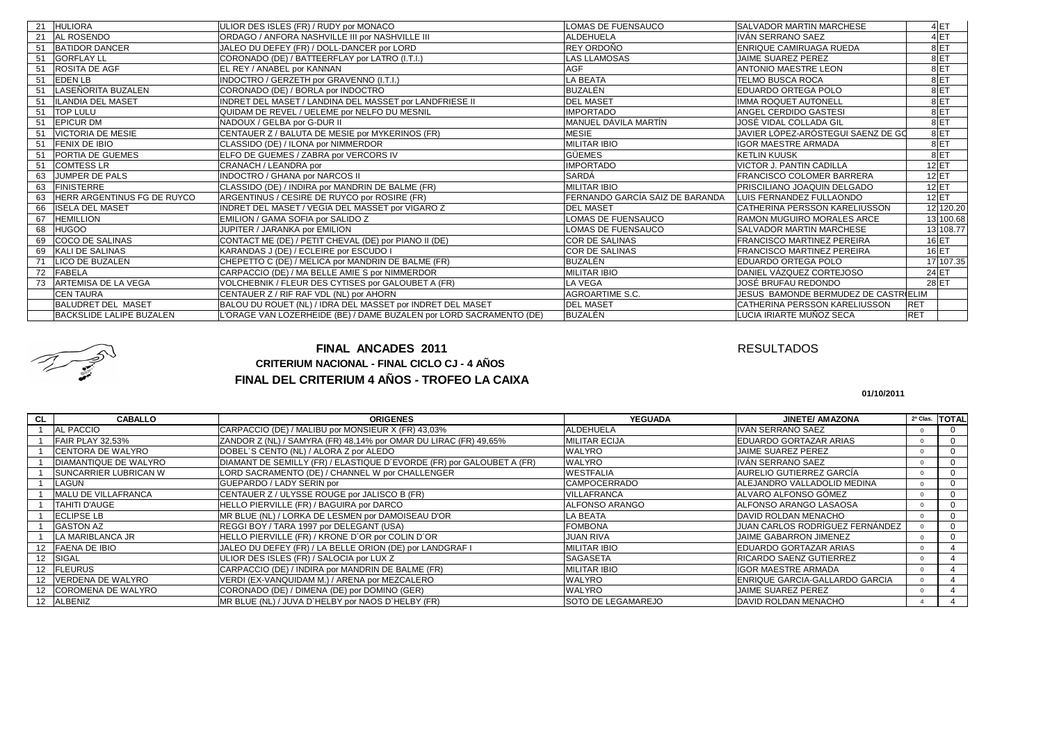| 21 | <b>HULIORA</b>                  | ULIOR DES ISLES (FR) / RUDY por MONACO                              | LOMAS DE FUENSAUCO              | <b>SALVADOR MARTIN MARCHESE</b>      |            | 4ET             |
|----|---------------------------------|---------------------------------------------------------------------|---------------------------------|--------------------------------------|------------|-----------------|
| 21 | AL ROSENDO                      | ORDAGO / ANFORA NASHVILLE III por NASHVILLE III                     | <b>ALDEHUELA</b>                | IVÁN SERRANO SAEZ                    |            | 4 <sub>ET</sub> |
| 51 | <b>BATIDOR DANCER</b>           | JALEO DU DEFEY (FR) / DOLL-DANCER por LORD                          | REY ORDOÑO                      | <b>ENRIQUE CAMIRUAGA RUEDA</b>       |            | 8 <sub>ET</sub> |
| 51 | <b>GORFLAY LL</b>               | CORONADO (DE) / BATTEERFLAY por LATRO (I.T.I.)                      | <b>LAS LLAMOSAS</b>             | JAIME SUAREZ PEREZ                   |            | 8 ET            |
| 51 | <b>ROSITA DE AGF</b>            | EL REY / ANABEL por KANNAN                                          | <b>AGF</b>                      | <b>ANTONIO MAESTRE LEON</b>          |            | 8 <sub>ET</sub> |
| 51 | <b>EDEN LB</b>                  | INDOCTRO / GERZETH por GRAVENNO (I.T.I.)                            | <b>LA BEATA</b>                 | <b>TELMO BUSCA ROCA</b>              |            | 8 <sub>ET</sub> |
| 51 | LASEÑORITA BUZALEN              | CORONADO (DE) / BORLA por INDOCTRO                                  | <b>BUZALÉN</b>                  | EDUARDO ORTEGA POLO                  |            | 8 ET            |
| 51 | <b>ILANDIA DEL MASET</b>        | INDRET DEL MASET / LANDINA DEL MASSET por LANDFRIESE II             | <b>DEL MASET</b>                | <b>IMMA ROQUET AUTONELL</b>          |            | 8 <sub>ET</sub> |
| 51 | <b>TOP LULU</b>                 | QUIDAM DE REVEL / UELEME por NELFO DU MESNIL                        | <b>IMPORTADO</b>                | ANGEL CERDIDO GASTESI                |            | 8 <sub>ET</sub> |
| 51 | <b>EPICUR DM</b>                | NADOUX / GELBA por G-DUR II                                         | MANUEL DÁVILA MARTÍN            | JOSÉ VIDAL COLLADA GIL               |            | 8 <sub>ET</sub> |
| 51 | <b>VICTORIA DE MESIE</b>        | CENTAUER Z / BALUTA DE MESIE por MYKERINOS (FR)                     | <b>MESIE</b>                    | JAVIER LÓPEZ-ARÓSTEGUI SAENZ DE GO   |            | 8 <sub>ET</sub> |
| 51 | <b>FENIX DE IBIO</b>            | CLASSIDO (DE) / ILONA por NIMMERDOR                                 | <b>MILITAR IBIO</b>             | <b>IGOR MAESTRE ARMADA</b>           |            | 8 ET            |
| 51 | <b>PORTIA DE GUEMES</b>         | ELFO DE GUEMES / ZABRA por VERCORS IV                               | <b>GÜEMES</b>                   | <b>KETLIN KUUSK</b>                  |            | 8 <sub>ET</sub> |
| 51 | <b>COMTESS LR</b>               | CRANACH / LEANDRA por                                               | <b>IMPORTADO</b>                | <b>VICTOR J. PANTIN CADILLA</b>      |            | 12ET            |
| 63 | JUMPER DE PALS                  | <b>INDOCTRO / GHANA por NARCOS II</b>                               | <b>SARDÁ</b>                    | <b>FRANCISCO COLOMER BARRERA</b>     |            | $12$ ET         |
| 63 | <b>FINISTERRE</b>               | CLASSIDO (DE) / INDIRA por MANDRIN DE BALME (FR)                    | <b>MILITAR IBIO</b>             | <b>PRISCILIANO JOAQUIN DELGADO</b>   |            | $12$ ET         |
| 63 | HERR ARGENTINUS FG DE RUYCO     | ARGENTINUS / CESIRE DE RUYCO por ROSIRE (FR)                        | FERNANDO GARCÍA SÁIZ DE BARANDA | LUIS FERNANDEZ FULLAONDO             |            | 12ET            |
| 66 | <b>ISELA DEL MASET</b>          | INDRET DEL MASET / VEGIA DEL MASSET por VIGARO Z                    | <b>DEL MASET</b>                | <b>CATHERINA PERSSON KARELIUSSON</b> |            | 12 120.20       |
| 67 | <b>HEMILLION</b>                | EMILION / GAMA SOFIA por SALIDO Z                                   | LOMAS DE FUENSAUCO              | RAMON MUGUIRO MORALES ARCE           |            | 13 100.68       |
| 68 | <b>HUGOO</b>                    | JUPITER / JARANKA por EMILION                                       | <b>LOMAS DE FUENSAUCO</b>       | <b>SALVADOR MARTIN MARCHESE</b>      |            | 13 108.77       |
| 69 | <b>COCO DE SALINAS</b>          | CONTACT ME (DE) / PETIT CHEVAL (DE) por PIANO II (DE)               | <b>COR DE SALINAS</b>           | <b>FRANCISCO MARTINEZ PEREIRA</b>    |            | 16 ET           |
| 69 | KALI DE SALINAS                 | KARANDAS J (DE) / ECLEIRE por ESCUDO I                              | <b>COR DE SALINAS</b>           | <b>FRANCISCO MARTINEZ PEREIRA</b>    |            | 16ET            |
|    | <b>ICO DE BUZALEN</b>           | CHEPETTO C (DE) / MELICA por MANDRIN DE BALME (FR)                  | BUZALÉN                         | EDUARDO ORTEGA POLO                  |            | 17 107.35       |
| 72 | <b>FABELA</b>                   | CARPACCIO (DE) / MA BELLE AMIE S por NIMMERDOR                      | <b>MILITAR IBIO</b>             | DANIEL VÁZQUEZ CORTEJOSO             |            | 24 ET           |
| 73 | <b>ARTEMISA DE LA VEGA</b>      | VOLCHEBNIK / FLEUR DES CYTISES por GALOUBET A (FR)                  | <b>LA VEGA</b>                  | JOSÉ BRUFAU REDONDO                  |            | 28 ET           |
|    | <b>CEN TAURA</b>                | CENTAUER Z / RIF RAF VDL (NL) por AHORN                             | <b>AGROARTIME S.C.</b>          | JESUS BAMONDE BERMUDEZ DE CASTRIELIM |            |                 |
|    | <b>BALUDRET DEL MASET</b>       | BALOU DU ROUET (NL) / IDRA DEL MASSET por INDRET DEL MASET          | <b>DEL MASET</b>                | CATHERINA PERSSON KARELIUSSON        | <b>RET</b> |                 |
|    | <b>BACKSLIDE LALIPE BUZALEN</b> | L'ORAGE VAN LOZERHEIDE (BE) / DAME BUZALEN por LORD SACRAMENTO (DE) | <b>BUZALÉN</b>                  | LUCIA IRIARTE MUÑOZ SECA             | <b>RET</b> |                 |



## **FINAL DEL CRITERIUM 4 AÑOS - TROFEO LA CAIXAFINAL ANCADES 2011CRITERIUM NACIONAL - FINAL CICLO CJ - 4 AÑOS**

### RESULTADOS

**01/10/2011**

| <b>CL</b> | <b>CABALLO</b>               | <b>ORIGENES</b>                                                       | <b>YEGUADA</b>            | <b>JINETE/ AMAZONA</b>                | 2ª Clas. TOTAL |
|-----------|------------------------------|-----------------------------------------------------------------------|---------------------------|---------------------------------------|----------------|
|           | <b>AL PACCIO</b>             | CARPACCIO (DE) / MALIBU por MONSIEUR X (FR) 43,03%                    | ALDEHUELA                 | IVÁN SERRANO SAEZ                     |                |
|           | FAIR PLAY 32.53%             | ZANDOR Z (NL) / SAMYRA (FR) 48,14% por OMAR DU LIRAC (FR) 49,65%      | <b>MILITAR ECIJA</b>      | EDUARDO GORTAZAR ARIAS                |                |
|           | <b>CENTORA DE WALYRO</b>     | DOBEL'S CENTO (NL) / ALORA Z por ALEDO                                | WALYRO                    | <b>JAIME SUAREZ PEREZ</b>             |                |
|           | <b>DIAMANTIQUE DE WALYRO</b> | DIAMANT DE SEMILLY (FR) / ELASTIQUE D'EVORDE (FR) por GALOUBET A (FR) | <b>WALYRO</b>             | IVÁN SERRANO SAEZ                     |                |
|           | SUNCARRIER LUBRICAN W        | LORD SACRAMENTO (DE) / CHANNEL W por CHALLENGER                       | <b>WESTFALIA</b>          | AURELIO GUTIERREZ GARCÍA              |                |
|           | LAGUN                        | GUEPARDO / LADY SERIN por                                             | <b>CAMPOCERRADO</b>       | ALEJANDRO VALLADOLID MEDINA           |                |
|           | MALU DE VILLAFRANCA          | CENTAUER Z / ULYSSE ROUGE por JALISCO B (FR)                          | <b>VILLAFRANCA</b>        | ALVARO ALFONSO GÓMEZ                  |                |
|           | <b>TAHITI D'AUGE</b>         | HELLO PIERVILLE (FR) / BAGUIRA por DARCO                              | <b>ALFONSO ARANGO</b>     | ALFONSO ARANGO LASAOSA                |                |
|           | <b>ECLIPSE LB</b>            | MR BLUE (NL) / LORKA DE LESMEN por DAMOISEAU D'OR                     | <b>A BEATA</b>            | DAVID ROLDAN MENACHO                  |                |
|           | <b>GASTON AZ</b>             | REGGI BOY / TARA 1997 por DELEGANT (USA)                              | <b>FOMBONA</b>            | JUAN CARLOS RODRÍGUEZ FERNÁNDEZ       |                |
|           | LA MARIBLANCA JR             | HELLO PIERVILLE (FR) / KRONE D'OR por COLIN D'OR                      | <b>JUAN RIVA</b>          | JAIME GABARRON JIMENEZ                |                |
|           | 12 FAENA DE IBIO             | JALEO DU DEFEY (FR) / LA BELLE ORION (DE) por LANDGRAF I              | <b>MILITAR IBIO</b>       | EDUARDO GORTAZAR ARIAS                |                |
|           | <b>SIGAL</b>                 | ULIOR DES ISLES (FR) / SALOCIA por LUX Z                              | <b>SAGASETA</b>           | RICARDO SAENZ GUTIERREZ               |                |
|           | 12 FLEURUS                   | CARPACCIO (DE) / INDIRA por MANDRIN DE BALME (FR)                     | <b>MILITAR IBIO</b>       | <b>IGOR MAESTRE ARMADA</b>            |                |
|           | 12 VERDENA DE WALYRO         | VERDI (EX-VANQUIDAM M.) / ARENA por MEZCALERO                         | WALYRO                    | <b>ENRIQUE GARCIA-GALLARDO GARCIA</b> |                |
|           | 12 COROMENA DE WALYRO        | CORONADO (DE) / DIMENA (DE) por DOMINO (GER)                          | <b>WALYRO</b>             | JAIME SUAREZ PEREZ                    |                |
|           | 12 ALBENIZ                   | MR BLUE (NL) / JUVA D'HELBY por NAOS D'HELBY (FR)                     | <b>SOTO DE LEGAMAREJO</b> | DAVID ROLDAN MENACHO                  |                |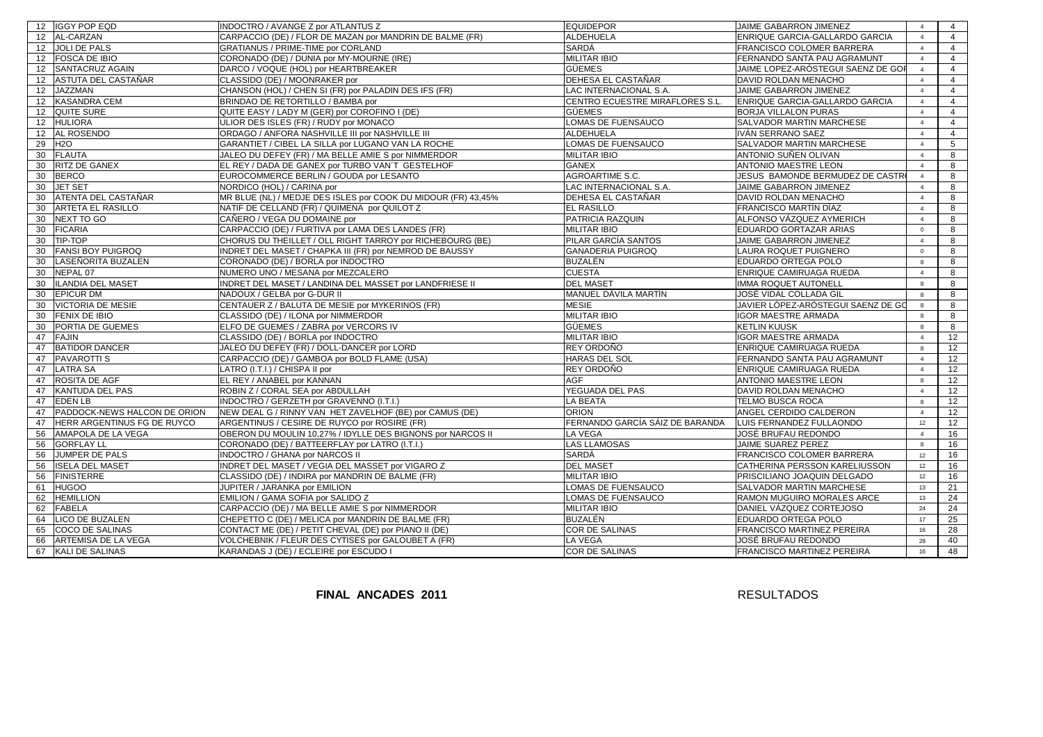|    | 12 IGGY POP EQD              | INDOCTRO / AVANGE Z por ATLANTUS Z                            | <b>EQUIDEPOR</b>                | JAIME GABARRON JIMENEZ             | $\overline{4}$ | $\overline{4}$  |
|----|------------------------------|---------------------------------------------------------------|---------------------------------|------------------------------------|----------------|-----------------|
|    | 12 AL-CARZAN                 | CARPACCIO (DE) / FLOR DE MAZAN por MANDRIN DE BALME (FR)      | <b>ALDEHUELA</b>                | ENRIQUE GARCIA-GALLARDO GARCIA     | $\overline{4}$ | $\overline{4}$  |
|    | 12 JOLI DE PALS              | <b>GRATIANUS / PRIME-TIME por CORLAND</b>                     | SARDÁ                           | FRANCISCO COLOMER BARRERA          | $\overline{4}$ | $\overline{4}$  |
|    | 12 FOSCA DE IBIO             | CORONADO (DE) / DUNIA por MY-MOURNE (IRE)                     | <b>MILITAR IBIO</b>             | FERNANDO SANTA PAU AGRAMUNT        | 4              | 4               |
| 12 | SANTACRUZ AGAIN              | DARCO / VOQUE (HOL) por HEARTBREAKER                          | <b>GÜEMES</b>                   | JAIME LOPEZ-ARÓSTEGUI SAENZ DE GOF | $\overline{4}$ | $\overline{4}$  |
|    | 12 ASTUTA DEL CASTAÑAR       | CLASSIDO (DE) / MOONRAKER por                                 | DEHESA EL CASTAÑAR              | DAVID ROLDAN MENACHO               | $\overline{4}$ | $\overline{4}$  |
|    | 12 JAZZMAN                   | CHANSON (HOL) / CHEN SI (FR) por PALADIN DES IFS (FR)         | LAC INTERNACIONAL S.A.          | JAIME GABARRON JIMENEZ             | $\overline{4}$ | $\overline{4}$  |
|    | 12 KASANDRA CEM              | BRINDAO DE RETORTILLO / BAMBA por                             | CENTRO ECUESTRE MIRAFLORES S.L  | ENRIQUE GARCIA-GALLARDO GARCIA     | $\overline{4}$ | 4               |
|    | 12 QUITE SURE                | QUITE EASY / LADY M (GER) por COROFINO I (DE)                 | <b>GÜEMES</b>                   | <b>BORJA VILLALON PURAS</b>        | $\overline{4}$ | $\overline{4}$  |
|    | 12 HULIORA                   | ULIOR DES ISLES (FR) / RUDY por MONACO                        | LOMAS DE FUENSAUCO              | SALVADOR MARTIN MARCHESE           | $\overline{4}$ | $\overline{4}$  |
|    | 12 AL ROSENDO                | ORDAGO / ANFORA NASHVILLE III por NASHVILLE III               | <b>ALDEHUELA</b>                | IVÁN SERRANO SAEZ                  | $\overline{4}$ | $\overline{4}$  |
| 29 | H2O                          | GARANTIET / CIBEL LA SILLA por LUGANO VAN LA ROCHE            | LOMAS DE FUENSAUCO              | SALVADOR MARTIN MARCHESE           | $\overline{4}$ | $5\phantom{.0}$ |
| 30 | <b>FLAUTA</b>                | JALEO DU DEFEY (FR) / MA BELLE AMIE S por NIMMERDOR           | <b>MILITAR IBIO</b>             | ANTONIO SUÑEN OLIVAN               | $\overline{4}$ | 8               |
| 30 | <b>RITZ DE GANEX</b>         | EL REY / DADA DE GANEX por TURBO VAN'T GESTELHOF              | <b>GANEX</b>                    | <b>ANTONIO MAESTRE LEON</b>        | $\overline{4}$ | 8               |
| 30 | <b>BERCO</b>                 | EUROCOMMERCE BERLIN / GOUDA por LESANTO                       | AGROARTIME S.C.                 | JESUS BAMONDE BERMUDEZ DE CASTRO   | $\overline{4}$ | 8               |
| 30 | <b>JET SET</b>               | NORDICO (HOL) / CARINA por                                    | LAC INTERNACIONAL S.A.          | JAIME GABARRON JIMENEZ             | $\overline{4}$ | 8               |
| 30 | ATENTA DEL CASTAÑAR          | MR BLUE (NL) / MEDJE DES ISLES por COOK DU MIDOUR (FR) 43,45% | DEHESA EL CASTAÑAR              | DAVID ROLDAN MENACHO               | $\overline{4}$ | 8               |
| 30 | <b>ARTETA EL RASILLO</b>     | NATIF DE CELLAND (FR) / QUIMENA por QUILOT Z                  | <b>EL RASILLO</b>               | FRANCISCO MARTÍN DÍAZ              | $\overline{4}$ | 8               |
| 30 | <b>NEXT TO GO</b>            | CAÑERO / VEGA DU DOMAINE por                                  | PATRICIA RAZQUIN                | ALFONSO VÁZQUEZ AYMERICH           | $\overline{4}$ | 8               |
| 30 | <b>FICARIA</b>               | CARPACCIO (DE) / FURTIVA por LAMA DES LANDES (FR)             | <b>MILITAR IBIO</b>             | EDUARDO GORTAZAR ARIAS             | $\mathbf 0$    | 8               |
| 30 | TIP-TOP                      | CHORUS DU THEILLET / OLL RIGHT TARROY por RICHEBOURG (BE)     | PILAR GARCÍA SANTOS             | JAIME GABARRON JIMENEZ             | $\overline{4}$ | 8               |
| 30 | <b>FANSI BOY PUIGROQ</b>     | INDRET DEL MASET / CHAPKA III (FR) por NEMROD DE BAUSSY       | <b>GANADERIA PUIGROQ</b>        | LAURA ROQUET PUIGNERO              | $\mathbf{0}$   | 8               |
| 30 | LASEÑORITA BUZALEN           | CORONADO (DE) / BORLA por INDOCTRO                            | BUZALÉN                         | EDUARDO ORTEGA POLO                | 8              | 8               |
| 30 | NEPAL 07                     | NUMERO UNO / MESANA por MEZCALERO                             | <b>CUESTA</b>                   | ENRIQUE CAMIRUAGA RUEDA            | $\overline{4}$ | 8               |
| 30 | <b>ILANDIA DEL MASET</b>     | INDRET DEL MASET / LANDINA DEL MASSET por LANDFRIESE II       | <b>DEL MASET</b>                | <b>IMMA ROQUET AUTONELL</b>        | $\mathbf{g}$   | 8               |
| 30 | <b>EPICUR DM</b>             | NADOUX / GELBA por G-DUR II                                   | MANUEL DÁVILA MARTÍN            | JOSÉ VIDAL COLLADA GIL             | 8              | 8               |
| 30 | <b>VICTORIA DE MESIE</b>     | CENTAUER Z / BALUTA DE MESIE por MYKERINOS (FR)               | <b>MESIE</b>                    | JAVIER LÓPEZ-ARÓSTEGUI SAENZ DE GO | 8              | 8               |
| 30 | <b>FENIX DE IBIO</b>         | CLASSIDO (DE) / ILONA por NIMMERDOR                           | <b>MILITAR IBIO</b>             | <b>IGOR MAESTRE ARMADA</b>         | 8              | 8               |
| 30 | PORTIA DE GUEMES             | ELFO DE GUEMES / ZABRA por VERCORS IV                         | <b>GÜEMES</b>                   | <b>KETLIN KUUSK</b>                | 8              | 8               |
| 47 | <b>FAJIN</b>                 | CLASSIDO (DE) / BORLA por INDOCTRO                            | <b>MILITAR IBIO</b>             | <b>IGOR MAESTRE ARMADA</b>         | $\overline{4}$ | 12              |
| 47 | <b>BATIDOR DANCER</b>        | JALEO DU DEFEY (FR) / DOLL-DANCER por LORD                    | REY ORDOÑO                      | ENRIQUE CAMIRUAGA RUEDA            | 8              | 12              |
| 47 | <b>PAVAROTTI S</b>           | CARPACCIO (DE) / GAMBOA por BOLD FLAME (USA)                  | HARAS DEL SOL                   | FERNANDO SANTA PAU AGRAMUNT        | $\overline{4}$ | 12              |
| 47 | <b>LATRA SA</b>              | LATRO (I.T.I.) / CHISPA II por                                | REY ORDOÑO                      | ENRIQUE CAMIRUAGA RUEDA            | $\overline{4}$ | 12              |
| 47 | <b>ROSITA DE AGF</b>         | EL REY / ANABEL por KANNAN                                    | <b>AGF</b>                      | <b>ANTONIO MAESTRE LEON</b>        | 8              | 12              |
| 47 | <b>KANTUDA DEL PAS</b>       | ROBIN Z / CORAL SEA por ABDULLAH                              | YEGUADA DEL PAS                 | DAVID ROLDAN MENACHO               | $\overline{4}$ | 12              |
| 47 | <b>EDENLB</b>                | INDOCTRO / GERZETH por GRAVENNO (I.T.I.)                      | LA BEATA                        | <b>TELMO BUSCA ROCA</b>            | $\mathbf{g}$   | 12              |
| 47 | PADDOCK-NEWS HALCON DE ORION | NEW DEAL G / RINNY VAN HET ZAVELHOF (BE) por CAMUS (DE)       | <b>ORION</b>                    | ANGEL CERDIDO CALDERON             | $\overline{4}$ | 12              |
| 47 | HERR ARGENTINUS FG DE RUYCO  | ARGENTINUS / CESIRE DE RUYCO por ROSIRE (FR)                  | FERNANDO GARCÍA SÁIZ DE BARANDA | LUIS FERNANDEZ FULLAONDO           | 12             | 12              |
| 56 | AMAPOLA DE LA VEGA           | OBERON DU MOULIN 10,27% / IDYLLE DES BIGNONS por NARCOS II    | LA VEGA                         | JOSÉ BRUFAU REDONDO                | $\overline{4}$ | 16              |
| 56 | <b>GORFLAY LL</b>            | CORONADO (DE) / BATTEERFLAY por LATRO (I.T.I.)                | <b>LAS LLAMOSAS</b>             | <b>JAIME SUAREZ PEREZ</b>          | 8              | 16              |
| 56 | <b>JUMPER DE PALS</b>        | <b>INDOCTRO / GHANA por NARCOS II</b>                         | SARDÁ                           | FRANCISCO COLOMER BARRERA          | 12             | 16              |
| 56 | <b>ISELA DEL MASET</b>       | <b>INDRET DEL MASET / VEGIA DEL MASSET por VIGARO Z</b>       | <b>DEL MASET</b>                | CATHERINA PERSSON KARELIUSSON      | 12             | 16              |
| 56 | <b>FINISTERRE</b>            | CLASSIDO (DE) / INDIRA por MANDRIN DE BALME (FR)              | <b>MILITAR IBIO</b>             | PRISCILIANO JOAQUIN DELGADO        | 12             | 16              |
| 61 | <b>HUGOO</b>                 | JUPITER / JARANKA por EMILION                                 | LOMAS DE FUENSAUCO              | <b>SALVADOR MARTIN MARCHESE</b>    | 13             | 21              |
| 62 | <b>HEMILLION</b>             | EMILION / GAMA SOFIA por SALIDO Z                             | LOMAS DE FUENSAUCO              | RAMON MUGUIRO MORALES ARCE         | 13             | $\overline{24}$ |
| 62 | <b>FABELA</b>                | CARPACCIO (DE) / MA BELLE AMIE S por NIMMERDOR                | <b>MILITAR IBIO</b>             | DANIEL VÁZQUEZ CORTEJOSO           | 24             | $\overline{24}$ |
| 64 | <b>LICO DE BUZALEN</b>       | CHEPETTO C (DE) / MELICA por MANDRIN DE BALME (FR)            | BUZALÉN                         | EDUARDO ORTEGA POLO                | 17             | $\overline{25}$ |
| 65 | <b>COCO DE SALINAS</b>       | CONTACT ME (DE) / PETIT CHEVAL (DE) por PIANO II (DE)         | <b>COR DE SALINAS</b>           | <b>FRANCISCO MARTINEZ PEREIRA</b>  | 16             | $\overline{28}$ |
| 66 | ARTEMISA DE LA VEGA          | VOLCHEBNIK / FLEUR DES CYTISES por GALOUBET A (FR)            | LA VEGA                         | JOSÉ BRUFAU REDONDO                | 28             | 40              |
| 67 | <b>KALI DE SALINAS</b>       | KARANDAS J (DE) / ECLEIRE por ESCUDO I                        | COR DE SALINAS                  | <b>FRANCISCO MARTINEZ PEREIRA</b>  | 16             | 48              |

**FINAL ANCADES 2011**

RESULTADOS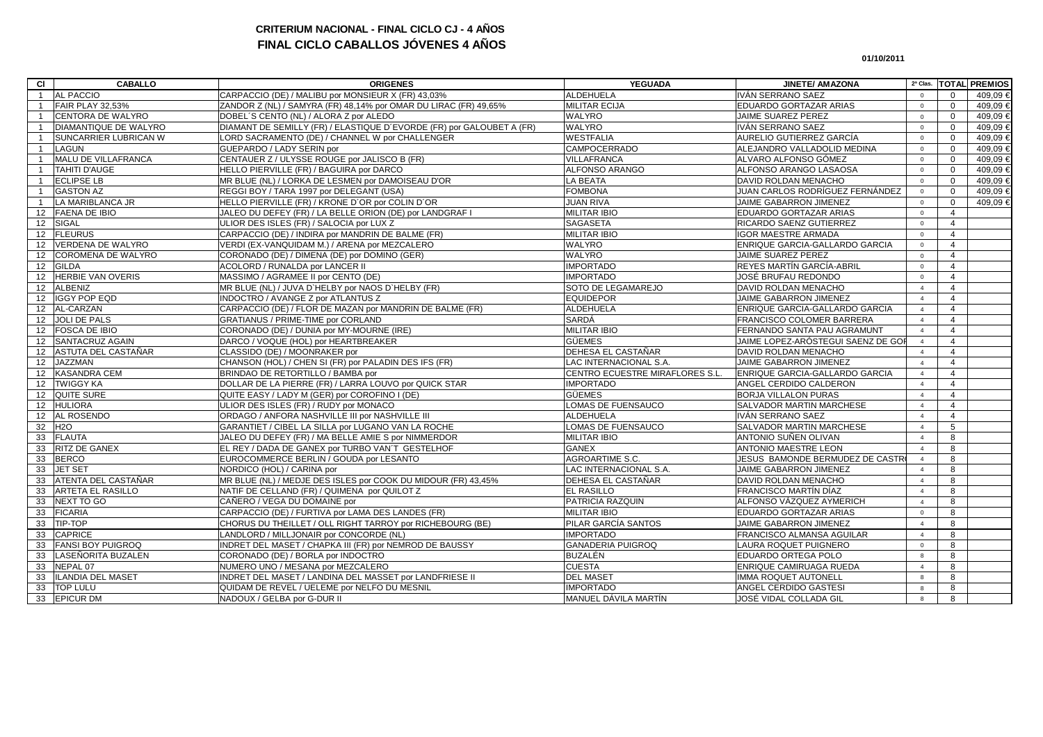# **CRITERIUM NACIONAL - FINAL CICLO CJ - 4 AÑOS FINAL CICLO CABALLOS JÓVENES 4 AÑOS**

#### **01/10/2011**

| <b>AL PACCIO</b><br>CARPACCIO (DE) / MALIBU por MONSIEUR X (FR) 43,03%<br><b>ALDEHUELA</b><br>IVÁN SERRANO SAEZ<br>409,09€<br>$\mathbf{1}$<br>$\Omega$<br>$\overline{0}$<br><b>MILITAR ECIJA</b><br>FAIR PLAY 32,53%<br>ZANDOR Z (NL) / SAMYRA (FR) 48,14% por OMAR DU LIRAC (FR) 49,65%<br>EDUARDO GORTAZAR ARIAS<br>409,09€<br>$\overline{0}$<br>$\mathbf{0}$<br>$\mathbf{1}$<br><b>CENTORA DE WALYRO</b><br>DOBEL'S CENTO (NL) / ALORA Z por ALEDO<br>WALYRO<br>409,09€<br>JAIME SUAREZ PEREZ<br>$\mathbf 0$<br>$\circ$<br>$\mathbf{1}$<br>DIAMANTIQUE DE WALYRO<br>DIAMANT DE SEMILLY (FR) / ELASTIQUE D'EVORDE (FR) por GALOUBET A (FR)<br>WALYRO<br>IVÁN SERRANO SAEZ<br>409,09 €<br>$\mathbf 0$<br>$\mathbf 0$<br>$\overline{1}$<br>SUNCARRIER LUBRICAN W<br>LORD SACRAMENTO (DE) / CHANNEL W por CHALLENGER<br><b>WESTFALIA</b><br>AURELIO GUTIERREZ GARCÍA<br>409,09€<br>$\overline{0}$<br>$\mathbf 0$<br>$\mathbf{1}$<br><b>CAMPOCERRADO</b><br><b>LAGUN</b><br>GUEPARDO / LADY SERIN por<br>ALEJANDRO VALLADOLID MEDINA<br>409,09€<br>$\mathbf 0$<br>$\mathbf{1}$<br>$\overline{0}$<br>MALU DE VILLAFRANCA<br>CENTAUER Z / ULYSSE ROUGE por JALISCO B (FR)<br>VILLAFRANCA<br>ALVARO ALFONSO GÓMEZ<br>409.09€<br>$\circ$<br>$\Omega$<br>$\mathbf{1}$<br><b>TAHITI D'AUGE</b><br>HELLO PIERVILLE (FR) / BAGUIRA por DARCO<br>ALFONSO ARANGO<br>ALFONSO ARANGO LASAOSA<br>409.09€<br>$\mathbf{1}$<br>$\circ$<br>$\Omega$<br><b>ECLIPSE LB</b><br>MR BLUE (NL) / LORKA DE LESMEN por DAMOISEAU D'OR<br>LA BEATA<br><b>DAVID ROLDAN MENACHO</b><br>409.09€<br>$\circ$<br>$\Omega$<br>$\mathbf{1}$<br><b>GASTON AZ</b><br>REGGI BOY / TARA 1997 por DELEGANT (USA)<br><b>FOMBONA</b><br>JUAN CARLOS RODRÍGUEZ FERNÁNDEZ<br>409.09€<br>$\mathbf{1}$<br>$\circ$<br>$\Omega$<br>LA MARIBLANCA JR<br>HELLO PIERVILLE (FR) / KRONE D'OR por COLIN D'OR<br><b>JUAN RIVA</b><br>JAIME GABARRON JIMENEZ<br>409,09€<br>$\mathbf 0$<br>$\overline{0}$<br>$\mathbf{1}$<br>12 FAENA DE IBIO<br>JALEO DU DEFEY (FR) / LA BELLE ORION (DE) por LANDGRAF I<br><b>MILITAR IBIO</b><br>EDUARDO GORTAZAR ARIAS<br>$\mathbf 0$<br>$\overline{4}$<br>12 SIGAL<br>ULIOR DES ISLES (FR) / SALOCIA por LUX Z<br><b>SAGASETA</b><br>RICARDO SAENZ GUTIERREZ<br>$\overline{4}$<br>$\mathbf 0$<br>12 FLEURUS<br><b>MILITAR IBIO</b><br><b>IGOR MAESTRE ARMADA</b><br>CARPACCIO (DE) / INDIRA por MANDRIN DE BALME (FR)<br>$\overline{4}$<br>$\circ$<br>VERDENA DE WALYRO<br>WALYRO<br>ENRIQUE GARCIA-GALLARDO GARCIA<br>12 <sup>2</sup><br>VERDI (EX-VANQUIDAM M.) / ARENA por MEZCALERO<br>$\overline{4}$<br>$\overline{0}$<br><b>COROMENA DE WALYRO</b><br>WALYRO<br><b>JAIME SUAREZ PEREZ</b><br>12 <sup>2</sup><br>CORONADO (DE) / DIMENA (DE) por DOMINO (GER)<br>$\overline{4}$<br>$\overline{0}$<br>ACOLORD / RUNALDA por LANCER II<br><b>IMPORTADO</b><br>REYES MARTÍN GARCÍA-ABRIL<br>12 <sup>12</sup><br><b>GILDA</b><br>$\overline{4}$<br>$\overline{0}$<br><b>HERBIE VAN OVERIS</b><br><b>IMPORTADO</b><br>12 <sup>2</sup><br>MASSIMO / AGRAMEE II por CENTO (DE)<br>JOSÉ BRUFAU REDONDO<br>$\overline{4}$<br>$\overline{0}$<br>SOTO DE LEGAMAREJO<br>12 <sup>12</sup><br><b>ALBENIZ</b><br>MR BLUE (NL) / JUVA D'HELBY por NAOS D'HELBY (FR)<br>DAVID ROLDAN MENACHO<br>$\overline{4}$<br>$\overline{4}$<br><b>IGGY POP EQD</b><br>12<br>INDOCTRO / AVANGE Z por ATLANTUS Z<br><b>EQUIDEPOR</b><br>JAIME GABARRON JIMENEZ<br>$\overline{4}$<br>$\overline{4}$<br>12 AL-CARZAN<br>CARPACCIO (DE) / FLOR DE MAZAN por MANDRIN DE BALME (FR)<br><b>ALDEHUELA</b><br>ENRIQUE GARCIA-GALLARDO GARCIA<br>$\overline{4}$<br>$\overline{4}$<br>SARDÁ<br>12 JOLI DE PALS<br>FRANCISCO COLOMER BARRERA<br>GRATIANUS / PRIME-TIME por CORLAND<br>$\overline{4}$<br>$\overline{4}$<br><b>FOSCA DE IBIO</b><br><b>MILITAR IBIO</b><br>CORONADO (DE) / DUNIA por MY-MOURNE (IRE)<br>FERNANDO SANTA PAU AGRAMUNT<br>12 <sup>12</sup><br>$\overline{4}$<br>$\overline{4}$<br>SANTACRUZ AGAIN<br>JAIME LOPEZ-ARÓSTEGUI SAENZ DE GOF<br>DARCO / VOQUE (HOL) por HEARTBREAKER<br>GÜEMES<br>12 <sup>12</sup><br>$\overline{4}$<br>$\overline{4}$<br>DEHESA EL CASTAÑAR<br>ASTUTA DEL CASTAÑAR<br>CLASSIDO (DE) / MOONRAKER por<br>DAVID ROLDAN MENACHO<br>12<br>$\overline{4}$<br>$\overline{4}$<br>12 JAZZMAN<br>CHANSON (HOL) / CHEN SI (FR) por PALADIN DES IFS (FR)<br>LAC INTERNACIONAL S.A.<br>JAIME GABARRON JIMENEZ<br>$\overline{4}$<br>$\overline{4}$<br>12 KASANDRA CEM<br>CENTRO ECUESTRE MIRAFLORES S.L.<br>BRINDAO DE RETORTILLO / BAMBA por<br>ENRIQUE GARCIA-GALLARDO GARCIA<br>$\overline{4}$<br>$\overline{4}$<br>12 TWIGGY KA<br>DOLLAR DE LA PIERRE (FR) / LARRA LOUVO por QUICK STAR<br><b>IMPORTADO</b><br>ANGEL CERDIDO CALDERON<br>$\overline{4}$<br>$\overline{4}$<br>12 QUITE SURE<br>GÜEMES<br>QUITE EASY / LADY M (GER) por COROFINO I (DE)<br><b>BORJA VILLALON PURAS</b><br>$\overline{4}$<br>$\overline{4}$<br><b>HULIORA</b><br>ULIOR DES ISLES (FR) / RUDY por MONACO<br>LOMAS DE FUENSAUCO<br>SALVADOR MARTIN MARCHESE<br>12<br>$\overline{4}$<br>$\overline{4}$<br>AL ROSENDO<br>ORDAGO / ANFORA NASHVILLE III por NASHVILLE III<br>ALDEHUELA<br>IVÁN SERRANO SAEZ<br>12<br>$\overline{4}$<br>$\overline{4}$<br>32<br><b>H2O</b><br>GARANTIET / CIBEL LA SILLA por LUGANO VAN LA ROCHE<br>LOMAS DE FUENSAUCO<br>SALVADOR MARTIN MARCHESE<br>5<br>$\overline{4}$<br>33 FLAUTA<br>JALEO DU DEFEY (FR) / MA BELLE AMIE S por NIMMERDOR<br><b>MILITAR IBIO</b><br>ANTONIO SUÑEN OLIVAN<br>$\overline{4}$<br>8<br><b>GANEX</b><br>33<br>RITZ DE GANEX<br>EL REY / DADA DE GANEX por TURBO VAN'T GESTELHOF<br><b>ANTONIO MAESTRE LEON</b><br>$\overline{4}$<br>8<br>33<br><b>BERCO</b><br>EUROCOMMERCE BERLIN / GOUDA por LESANTO<br>AGROARTIME S.C.<br>JESUS BAMONDE BERMUDEZ DE CASTRO<br>$\overline{4}$<br>8<br><b>JET SET</b><br>NORDICO (HOL) / CARINA por<br>LAC INTERNACIONAL S.A.<br>JAIME GABARRON JIMENEZ<br>33<br>4<br>8<br>ATENTA DEL CASTAÑAR<br>MR BLUE (NL) / MEDJE DES ISLES por COOK DU MIDOUR (FR) 43,45%<br>DEHESA EL CASTAÑAR<br>33<br>DAVID ROLDAN MENACHO<br>$\overline{4}$<br>8<br>NATIF DE CELLAND (FR) / QUIMENA por QUILOT Z<br><b>EL RASILLO</b><br>FRANCISCO MARTÍN DÍAZ<br>33<br><b>ARTETA EL RASILLO</b><br>8<br>$\overline{4}$<br>NEXT TO GO<br>PATRICIA RAZQUIN<br>33<br>CAÑERO / VEGA DU DOMAINE por<br>ALFONSO VÁZQUEZ AYMERICH<br>8<br>$\overline{4}$<br><b>FICARIA</b><br>CARPACCIO (DE) / FURTIVA por LAMA DES LANDES (FR)<br><b>MILITAR IBIO</b><br>33<br>EDUARDO GORTAZAR ARIAS<br>8<br>$\overline{0}$<br><b>TIP-TOP</b><br>33<br>CHORUS DU THEILLET / OLL RIGHT TARROY por RICHEBOURG (BE)<br>PILAR GARCÍA SANTOS<br>JAIME GABARRON JIMENEZ<br>8<br>$\overline{4}$<br><b>CAPRICE</b><br>LANDLORD / MILLJONAIR por CONCORDE (NL)<br><b>IMPORTADO</b><br>FRANCISCO ALMANSA AGUILAR<br>33<br>8<br>$\overline{4}$<br><b>FANSI BOY PUIGROQ</b><br><b>GANADERIA PUIGROQ</b><br>33<br>INDRET DEL MASET / CHAPKA III (FR) por NEMROD DE BAUSSY<br>LAURA ROQUET PUIGNERO<br>$\mathbf 0$<br>8<br>LASEÑORITA BUZALEN<br>CORONADO (DE) / BORLA por INDOCTRO<br><b>BUZALÉN</b><br>33<br>EDUARDO ORTEGA POLO<br>8<br>8<br>33<br>NEPAL 07<br>NUMERO UNO / MESANA por MEZCALERO<br><b>CUESTA</b><br>ENRIQUE CAMIRUAGA RUEDA<br>8<br>$\overline{4}$<br><b>ILANDIA DEL MASET</b><br><b>DEL MASET</b><br>33<br>INDRET DEL MASET / LANDINA DEL MASSET por LANDFRIESE II<br><b>IMMA ROQUET AUTONELL</b><br>8<br>8<br>33<br><b>TOP LULU</b><br>QUIDAM DE REVEL / UELEME por NELFO DU MESNIL<br><b>IMPORTADO</b><br>ANGEL CERDIDO GASTESI<br>8<br>8<br>33<br><b>EPICUR DM</b><br>NADOUX / GELBA por G-DUR II<br>MANUEL DÁVILA MARTÍN<br>JOSÉ VIDAL COLLADA GIL<br>8<br>8 | <b>CI</b> | <b>CABALLO</b> | <b>ORIGENES</b> | <b>YEGUADA</b> | <b>JINETE/ AMAZONA</b> | 2ª Clas. | <b>TOTAL PREMIOS</b> |
|--------------------------------------------------------------------------------------------------------------------------------------------------------------------------------------------------------------------------------------------------------------------------------------------------------------------------------------------------------------------------------------------------------------------------------------------------------------------------------------------------------------------------------------------------------------------------------------------------------------------------------------------------------------------------------------------------------------------------------------------------------------------------------------------------------------------------------------------------------------------------------------------------------------------------------------------------------------------------------------------------------------------------------------------------------------------------------------------------------------------------------------------------------------------------------------------------------------------------------------------------------------------------------------------------------------------------------------------------------------------------------------------------------------------------------------------------------------------------------------------------------------------------------------------------------------------------------------------------------------------------------------------------------------------------------------------------------------------------------------------------------------------------------------------------------------------------------------------------------------------------------------------------------------------------------------------------------------------------------------------------------------------------------------------------------------------------------------------------------------------------------------------------------------------------------------------------------------------------------------------------------------------------------------------------------------------------------------------------------------------------------------------------------------------------------------------------------------------------------------------------------------------------------------------------------------------------------------------------------------------------------------------------------------------------------------------------------------------------------------------------------------------------------------------------------------------------------------------------------------------------------------------------------------------------------------------------------------------------------------------------------------------------------------------------------------------------------------------------------------------------------------------------------------------------------------------------------------------------------------------------------------------------------------------------------------------------------------------------------------------------------------------------------------------------------------------------------------------------------------------------------------------------------------------------------------------------------------------------------------------------------------------------------------------------------------------------------------------------------------------------------------------------------------------------------------------------------------------------------------------------------------------------------------------------------------------------------------------------------------------------------------------------------------------------------------------------------------------------------------------------------------------------------------------------------------------------------------------------------------------------------------------------------------------------------------------------------------------------------------------------------------------------------------------------------------------------------------------------------------------------------------------------------------------------------------------------------------------------------------------------------------------------------------------------------------------------------------------------------------------------------------------------------------------------------------------------------------------------------------------------------------------------------------------------------------------------------------------------------------------------------------------------------------------------------------------------------------------------------------------------------------------------------------------------------------------------------------------------------------------------------------------------------------------------------------------------------------------------------------------------------------------------------------------------------------------------------------------------------------------------------------------------------------------------------------------------------------------------------------------------------------------------------------------------------------------------------------------------------------------------------------------------------------------------------------------------------------------------------------------------------------------------------------------------------------------------------------------------------------------------------------------------------------------------------------------------------------------------------------------------------------------------------------------------------------------------------------------------------------------------------------------------------------------------------------------------------------------------------------------------------------------------------------------------------------------------------------------------------------------------------------------------------------------------------------------------------------------------------------------------------------------------------------------------------------------------------------------------------------------------------------------------------------------------------------------------------------------------------------------------------------------------------------------------------------------------------------------------------------------------------------------------------------------------------------------------------------------------------------------------------------------------------------------------------------------------------------------------------------------------------------------------------------------------------------------------------------------------------------------------------------------------------------------------------------------------------------------------------------------------------------------------------------------------------------------------------------------------------------------------------------------------------------------------------------------|-----------|----------------|-----------------|----------------|------------------------|----------|----------------------|
|                                                                                                                                                                                                                                                                                                                                                                                                                                                                                                                                                                                                                                                                                                                                                                                                                                                                                                                                                                                                                                                                                                                                                                                                                                                                                                                                                                                                                                                                                                                                                                                                                                                                                                                                                                                                                                                                                                                                                                                                                                                                                                                                                                                                                                                                                                                                                                                                                                                                                                                                                                                                                                                                                                                                                                                                                                                                                                                                                                                                                                                                                                                                                                                                                                                                                                                                                                                                                                                                                                                                                                                                                                                                                                                                                                                                                                                                                                                                                                                                                                                                                                                                                                                                                                                                                                                                                                                                                                                                                                                                                                                                                                                                                                                                                                                                                                                                                                                                                                                                                                                                                                                                                                                                                                                                                                                                                                                                                                                                                                                                                                                                                                                                                                                                                                                                                                                                                                                                                                                                                                                                                                                                                                                                                                                                                                                                                                                                                                                                                                                                                                                                                                                                                                                                                                                                                                                                                                                                                                                                                                                                                                                                                                                                                                                                                                                                                                                                                                                                                                                                                                                                                                                                                            |           |                |                 |                |                        |          |                      |
|                                                                                                                                                                                                                                                                                                                                                                                                                                                                                                                                                                                                                                                                                                                                                                                                                                                                                                                                                                                                                                                                                                                                                                                                                                                                                                                                                                                                                                                                                                                                                                                                                                                                                                                                                                                                                                                                                                                                                                                                                                                                                                                                                                                                                                                                                                                                                                                                                                                                                                                                                                                                                                                                                                                                                                                                                                                                                                                                                                                                                                                                                                                                                                                                                                                                                                                                                                                                                                                                                                                                                                                                                                                                                                                                                                                                                                                                                                                                                                                                                                                                                                                                                                                                                                                                                                                                                                                                                                                                                                                                                                                                                                                                                                                                                                                                                                                                                                                                                                                                                                                                                                                                                                                                                                                                                                                                                                                                                                                                                                                                                                                                                                                                                                                                                                                                                                                                                                                                                                                                                                                                                                                                                                                                                                                                                                                                                                                                                                                                                                                                                                                                                                                                                                                                                                                                                                                                                                                                                                                                                                                                                                                                                                                                                                                                                                                                                                                                                                                                                                                                                                                                                                                                                            |           |                |                 |                |                        |          |                      |
|                                                                                                                                                                                                                                                                                                                                                                                                                                                                                                                                                                                                                                                                                                                                                                                                                                                                                                                                                                                                                                                                                                                                                                                                                                                                                                                                                                                                                                                                                                                                                                                                                                                                                                                                                                                                                                                                                                                                                                                                                                                                                                                                                                                                                                                                                                                                                                                                                                                                                                                                                                                                                                                                                                                                                                                                                                                                                                                                                                                                                                                                                                                                                                                                                                                                                                                                                                                                                                                                                                                                                                                                                                                                                                                                                                                                                                                                                                                                                                                                                                                                                                                                                                                                                                                                                                                                                                                                                                                                                                                                                                                                                                                                                                                                                                                                                                                                                                                                                                                                                                                                                                                                                                                                                                                                                                                                                                                                                                                                                                                                                                                                                                                                                                                                                                                                                                                                                                                                                                                                                                                                                                                                                                                                                                                                                                                                                                                                                                                                                                                                                                                                                                                                                                                                                                                                                                                                                                                                                                                                                                                                                                                                                                                                                                                                                                                                                                                                                                                                                                                                                                                                                                                                                            |           |                |                 |                |                        |          |                      |
|                                                                                                                                                                                                                                                                                                                                                                                                                                                                                                                                                                                                                                                                                                                                                                                                                                                                                                                                                                                                                                                                                                                                                                                                                                                                                                                                                                                                                                                                                                                                                                                                                                                                                                                                                                                                                                                                                                                                                                                                                                                                                                                                                                                                                                                                                                                                                                                                                                                                                                                                                                                                                                                                                                                                                                                                                                                                                                                                                                                                                                                                                                                                                                                                                                                                                                                                                                                                                                                                                                                                                                                                                                                                                                                                                                                                                                                                                                                                                                                                                                                                                                                                                                                                                                                                                                                                                                                                                                                                                                                                                                                                                                                                                                                                                                                                                                                                                                                                                                                                                                                                                                                                                                                                                                                                                                                                                                                                                                                                                                                                                                                                                                                                                                                                                                                                                                                                                                                                                                                                                                                                                                                                                                                                                                                                                                                                                                                                                                                                                                                                                                                                                                                                                                                                                                                                                                                                                                                                                                                                                                                                                                                                                                                                                                                                                                                                                                                                                                                                                                                                                                                                                                                                                            |           |                |                 |                |                        |          |                      |
|                                                                                                                                                                                                                                                                                                                                                                                                                                                                                                                                                                                                                                                                                                                                                                                                                                                                                                                                                                                                                                                                                                                                                                                                                                                                                                                                                                                                                                                                                                                                                                                                                                                                                                                                                                                                                                                                                                                                                                                                                                                                                                                                                                                                                                                                                                                                                                                                                                                                                                                                                                                                                                                                                                                                                                                                                                                                                                                                                                                                                                                                                                                                                                                                                                                                                                                                                                                                                                                                                                                                                                                                                                                                                                                                                                                                                                                                                                                                                                                                                                                                                                                                                                                                                                                                                                                                                                                                                                                                                                                                                                                                                                                                                                                                                                                                                                                                                                                                                                                                                                                                                                                                                                                                                                                                                                                                                                                                                                                                                                                                                                                                                                                                                                                                                                                                                                                                                                                                                                                                                                                                                                                                                                                                                                                                                                                                                                                                                                                                                                                                                                                                                                                                                                                                                                                                                                                                                                                                                                                                                                                                                                                                                                                                                                                                                                                                                                                                                                                                                                                                                                                                                                                                                            |           |                |                 |                |                        |          |                      |
|                                                                                                                                                                                                                                                                                                                                                                                                                                                                                                                                                                                                                                                                                                                                                                                                                                                                                                                                                                                                                                                                                                                                                                                                                                                                                                                                                                                                                                                                                                                                                                                                                                                                                                                                                                                                                                                                                                                                                                                                                                                                                                                                                                                                                                                                                                                                                                                                                                                                                                                                                                                                                                                                                                                                                                                                                                                                                                                                                                                                                                                                                                                                                                                                                                                                                                                                                                                                                                                                                                                                                                                                                                                                                                                                                                                                                                                                                                                                                                                                                                                                                                                                                                                                                                                                                                                                                                                                                                                                                                                                                                                                                                                                                                                                                                                                                                                                                                                                                                                                                                                                                                                                                                                                                                                                                                                                                                                                                                                                                                                                                                                                                                                                                                                                                                                                                                                                                                                                                                                                                                                                                                                                                                                                                                                                                                                                                                                                                                                                                                                                                                                                                                                                                                                                                                                                                                                                                                                                                                                                                                                                                                                                                                                                                                                                                                                                                                                                                                                                                                                                                                                                                                                                                            |           |                |                 |                |                        |          |                      |
|                                                                                                                                                                                                                                                                                                                                                                                                                                                                                                                                                                                                                                                                                                                                                                                                                                                                                                                                                                                                                                                                                                                                                                                                                                                                                                                                                                                                                                                                                                                                                                                                                                                                                                                                                                                                                                                                                                                                                                                                                                                                                                                                                                                                                                                                                                                                                                                                                                                                                                                                                                                                                                                                                                                                                                                                                                                                                                                                                                                                                                                                                                                                                                                                                                                                                                                                                                                                                                                                                                                                                                                                                                                                                                                                                                                                                                                                                                                                                                                                                                                                                                                                                                                                                                                                                                                                                                                                                                                                                                                                                                                                                                                                                                                                                                                                                                                                                                                                                                                                                                                                                                                                                                                                                                                                                                                                                                                                                                                                                                                                                                                                                                                                                                                                                                                                                                                                                                                                                                                                                                                                                                                                                                                                                                                                                                                                                                                                                                                                                                                                                                                                                                                                                                                                                                                                                                                                                                                                                                                                                                                                                                                                                                                                                                                                                                                                                                                                                                                                                                                                                                                                                                                                                            |           |                |                 |                |                        |          |                      |
|                                                                                                                                                                                                                                                                                                                                                                                                                                                                                                                                                                                                                                                                                                                                                                                                                                                                                                                                                                                                                                                                                                                                                                                                                                                                                                                                                                                                                                                                                                                                                                                                                                                                                                                                                                                                                                                                                                                                                                                                                                                                                                                                                                                                                                                                                                                                                                                                                                                                                                                                                                                                                                                                                                                                                                                                                                                                                                                                                                                                                                                                                                                                                                                                                                                                                                                                                                                                                                                                                                                                                                                                                                                                                                                                                                                                                                                                                                                                                                                                                                                                                                                                                                                                                                                                                                                                                                                                                                                                                                                                                                                                                                                                                                                                                                                                                                                                                                                                                                                                                                                                                                                                                                                                                                                                                                                                                                                                                                                                                                                                                                                                                                                                                                                                                                                                                                                                                                                                                                                                                                                                                                                                                                                                                                                                                                                                                                                                                                                                                                                                                                                                                                                                                                                                                                                                                                                                                                                                                                                                                                                                                                                                                                                                                                                                                                                                                                                                                                                                                                                                                                                                                                                                                            |           |                |                 |                |                        |          |                      |
|                                                                                                                                                                                                                                                                                                                                                                                                                                                                                                                                                                                                                                                                                                                                                                                                                                                                                                                                                                                                                                                                                                                                                                                                                                                                                                                                                                                                                                                                                                                                                                                                                                                                                                                                                                                                                                                                                                                                                                                                                                                                                                                                                                                                                                                                                                                                                                                                                                                                                                                                                                                                                                                                                                                                                                                                                                                                                                                                                                                                                                                                                                                                                                                                                                                                                                                                                                                                                                                                                                                                                                                                                                                                                                                                                                                                                                                                                                                                                                                                                                                                                                                                                                                                                                                                                                                                                                                                                                                                                                                                                                                                                                                                                                                                                                                                                                                                                                                                                                                                                                                                                                                                                                                                                                                                                                                                                                                                                                                                                                                                                                                                                                                                                                                                                                                                                                                                                                                                                                                                                                                                                                                                                                                                                                                                                                                                                                                                                                                                                                                                                                                                                                                                                                                                                                                                                                                                                                                                                                                                                                                                                                                                                                                                                                                                                                                                                                                                                                                                                                                                                                                                                                                                                            |           |                |                 |                |                        |          |                      |
|                                                                                                                                                                                                                                                                                                                                                                                                                                                                                                                                                                                                                                                                                                                                                                                                                                                                                                                                                                                                                                                                                                                                                                                                                                                                                                                                                                                                                                                                                                                                                                                                                                                                                                                                                                                                                                                                                                                                                                                                                                                                                                                                                                                                                                                                                                                                                                                                                                                                                                                                                                                                                                                                                                                                                                                                                                                                                                                                                                                                                                                                                                                                                                                                                                                                                                                                                                                                                                                                                                                                                                                                                                                                                                                                                                                                                                                                                                                                                                                                                                                                                                                                                                                                                                                                                                                                                                                                                                                                                                                                                                                                                                                                                                                                                                                                                                                                                                                                                                                                                                                                                                                                                                                                                                                                                                                                                                                                                                                                                                                                                                                                                                                                                                                                                                                                                                                                                                                                                                                                                                                                                                                                                                                                                                                                                                                                                                                                                                                                                                                                                                                                                                                                                                                                                                                                                                                                                                                                                                                                                                                                                                                                                                                                                                                                                                                                                                                                                                                                                                                                                                                                                                                                                            |           |                |                 |                |                        |          |                      |
|                                                                                                                                                                                                                                                                                                                                                                                                                                                                                                                                                                                                                                                                                                                                                                                                                                                                                                                                                                                                                                                                                                                                                                                                                                                                                                                                                                                                                                                                                                                                                                                                                                                                                                                                                                                                                                                                                                                                                                                                                                                                                                                                                                                                                                                                                                                                                                                                                                                                                                                                                                                                                                                                                                                                                                                                                                                                                                                                                                                                                                                                                                                                                                                                                                                                                                                                                                                                                                                                                                                                                                                                                                                                                                                                                                                                                                                                                                                                                                                                                                                                                                                                                                                                                                                                                                                                                                                                                                                                                                                                                                                                                                                                                                                                                                                                                                                                                                                                                                                                                                                                                                                                                                                                                                                                                                                                                                                                                                                                                                                                                                                                                                                                                                                                                                                                                                                                                                                                                                                                                                                                                                                                                                                                                                                                                                                                                                                                                                                                                                                                                                                                                                                                                                                                                                                                                                                                                                                                                                                                                                                                                                                                                                                                                                                                                                                                                                                                                                                                                                                                                                                                                                                                                            |           |                |                 |                |                        |          |                      |
|                                                                                                                                                                                                                                                                                                                                                                                                                                                                                                                                                                                                                                                                                                                                                                                                                                                                                                                                                                                                                                                                                                                                                                                                                                                                                                                                                                                                                                                                                                                                                                                                                                                                                                                                                                                                                                                                                                                                                                                                                                                                                                                                                                                                                                                                                                                                                                                                                                                                                                                                                                                                                                                                                                                                                                                                                                                                                                                                                                                                                                                                                                                                                                                                                                                                                                                                                                                                                                                                                                                                                                                                                                                                                                                                                                                                                                                                                                                                                                                                                                                                                                                                                                                                                                                                                                                                                                                                                                                                                                                                                                                                                                                                                                                                                                                                                                                                                                                                                                                                                                                                                                                                                                                                                                                                                                                                                                                                                                                                                                                                                                                                                                                                                                                                                                                                                                                                                                                                                                                                                                                                                                                                                                                                                                                                                                                                                                                                                                                                                                                                                                                                                                                                                                                                                                                                                                                                                                                                                                                                                                                                                                                                                                                                                                                                                                                                                                                                                                                                                                                                                                                                                                                                                            |           |                |                 |                |                        |          |                      |
|                                                                                                                                                                                                                                                                                                                                                                                                                                                                                                                                                                                                                                                                                                                                                                                                                                                                                                                                                                                                                                                                                                                                                                                                                                                                                                                                                                                                                                                                                                                                                                                                                                                                                                                                                                                                                                                                                                                                                                                                                                                                                                                                                                                                                                                                                                                                                                                                                                                                                                                                                                                                                                                                                                                                                                                                                                                                                                                                                                                                                                                                                                                                                                                                                                                                                                                                                                                                                                                                                                                                                                                                                                                                                                                                                                                                                                                                                                                                                                                                                                                                                                                                                                                                                                                                                                                                                                                                                                                                                                                                                                                                                                                                                                                                                                                                                                                                                                                                                                                                                                                                                                                                                                                                                                                                                                                                                                                                                                                                                                                                                                                                                                                                                                                                                                                                                                                                                                                                                                                                                                                                                                                                                                                                                                                                                                                                                                                                                                                                                                                                                                                                                                                                                                                                                                                                                                                                                                                                                                                                                                                                                                                                                                                                                                                                                                                                                                                                                                                                                                                                                                                                                                                                                            |           |                |                 |                |                        |          |                      |
|                                                                                                                                                                                                                                                                                                                                                                                                                                                                                                                                                                                                                                                                                                                                                                                                                                                                                                                                                                                                                                                                                                                                                                                                                                                                                                                                                                                                                                                                                                                                                                                                                                                                                                                                                                                                                                                                                                                                                                                                                                                                                                                                                                                                                                                                                                                                                                                                                                                                                                                                                                                                                                                                                                                                                                                                                                                                                                                                                                                                                                                                                                                                                                                                                                                                                                                                                                                                                                                                                                                                                                                                                                                                                                                                                                                                                                                                                                                                                                                                                                                                                                                                                                                                                                                                                                                                                                                                                                                                                                                                                                                                                                                                                                                                                                                                                                                                                                                                                                                                                                                                                                                                                                                                                                                                                                                                                                                                                                                                                                                                                                                                                                                                                                                                                                                                                                                                                                                                                                                                                                                                                                                                                                                                                                                                                                                                                                                                                                                                                                                                                                                                                                                                                                                                                                                                                                                                                                                                                                                                                                                                                                                                                                                                                                                                                                                                                                                                                                                                                                                                                                                                                                                                                            |           |                |                 |                |                        |          |                      |
|                                                                                                                                                                                                                                                                                                                                                                                                                                                                                                                                                                                                                                                                                                                                                                                                                                                                                                                                                                                                                                                                                                                                                                                                                                                                                                                                                                                                                                                                                                                                                                                                                                                                                                                                                                                                                                                                                                                                                                                                                                                                                                                                                                                                                                                                                                                                                                                                                                                                                                                                                                                                                                                                                                                                                                                                                                                                                                                                                                                                                                                                                                                                                                                                                                                                                                                                                                                                                                                                                                                                                                                                                                                                                                                                                                                                                                                                                                                                                                                                                                                                                                                                                                                                                                                                                                                                                                                                                                                                                                                                                                                                                                                                                                                                                                                                                                                                                                                                                                                                                                                                                                                                                                                                                                                                                                                                                                                                                                                                                                                                                                                                                                                                                                                                                                                                                                                                                                                                                                                                                                                                                                                                                                                                                                                                                                                                                                                                                                                                                                                                                                                                                                                                                                                                                                                                                                                                                                                                                                                                                                                                                                                                                                                                                                                                                                                                                                                                                                                                                                                                                                                                                                                                                            |           |                |                 |                |                        |          |                      |
|                                                                                                                                                                                                                                                                                                                                                                                                                                                                                                                                                                                                                                                                                                                                                                                                                                                                                                                                                                                                                                                                                                                                                                                                                                                                                                                                                                                                                                                                                                                                                                                                                                                                                                                                                                                                                                                                                                                                                                                                                                                                                                                                                                                                                                                                                                                                                                                                                                                                                                                                                                                                                                                                                                                                                                                                                                                                                                                                                                                                                                                                                                                                                                                                                                                                                                                                                                                                                                                                                                                                                                                                                                                                                                                                                                                                                                                                                                                                                                                                                                                                                                                                                                                                                                                                                                                                                                                                                                                                                                                                                                                                                                                                                                                                                                                                                                                                                                                                                                                                                                                                                                                                                                                                                                                                                                                                                                                                                                                                                                                                                                                                                                                                                                                                                                                                                                                                                                                                                                                                                                                                                                                                                                                                                                                                                                                                                                                                                                                                                                                                                                                                                                                                                                                                                                                                                                                                                                                                                                                                                                                                                                                                                                                                                                                                                                                                                                                                                                                                                                                                                                                                                                                                                            |           |                |                 |                |                        |          |                      |
|                                                                                                                                                                                                                                                                                                                                                                                                                                                                                                                                                                                                                                                                                                                                                                                                                                                                                                                                                                                                                                                                                                                                                                                                                                                                                                                                                                                                                                                                                                                                                                                                                                                                                                                                                                                                                                                                                                                                                                                                                                                                                                                                                                                                                                                                                                                                                                                                                                                                                                                                                                                                                                                                                                                                                                                                                                                                                                                                                                                                                                                                                                                                                                                                                                                                                                                                                                                                                                                                                                                                                                                                                                                                                                                                                                                                                                                                                                                                                                                                                                                                                                                                                                                                                                                                                                                                                                                                                                                                                                                                                                                                                                                                                                                                                                                                                                                                                                                                                                                                                                                                                                                                                                                                                                                                                                                                                                                                                                                                                                                                                                                                                                                                                                                                                                                                                                                                                                                                                                                                                                                                                                                                                                                                                                                                                                                                                                                                                                                                                                                                                                                                                                                                                                                                                                                                                                                                                                                                                                                                                                                                                                                                                                                                                                                                                                                                                                                                                                                                                                                                                                                                                                                                                            |           |                |                 |                |                        |          |                      |
|                                                                                                                                                                                                                                                                                                                                                                                                                                                                                                                                                                                                                                                                                                                                                                                                                                                                                                                                                                                                                                                                                                                                                                                                                                                                                                                                                                                                                                                                                                                                                                                                                                                                                                                                                                                                                                                                                                                                                                                                                                                                                                                                                                                                                                                                                                                                                                                                                                                                                                                                                                                                                                                                                                                                                                                                                                                                                                                                                                                                                                                                                                                                                                                                                                                                                                                                                                                                                                                                                                                                                                                                                                                                                                                                                                                                                                                                                                                                                                                                                                                                                                                                                                                                                                                                                                                                                                                                                                                                                                                                                                                                                                                                                                                                                                                                                                                                                                                                                                                                                                                                                                                                                                                                                                                                                                                                                                                                                                                                                                                                                                                                                                                                                                                                                                                                                                                                                                                                                                                                                                                                                                                                                                                                                                                                                                                                                                                                                                                                                                                                                                                                                                                                                                                                                                                                                                                                                                                                                                                                                                                                                                                                                                                                                                                                                                                                                                                                                                                                                                                                                                                                                                                                                            |           |                |                 |                |                        |          |                      |
|                                                                                                                                                                                                                                                                                                                                                                                                                                                                                                                                                                                                                                                                                                                                                                                                                                                                                                                                                                                                                                                                                                                                                                                                                                                                                                                                                                                                                                                                                                                                                                                                                                                                                                                                                                                                                                                                                                                                                                                                                                                                                                                                                                                                                                                                                                                                                                                                                                                                                                                                                                                                                                                                                                                                                                                                                                                                                                                                                                                                                                                                                                                                                                                                                                                                                                                                                                                                                                                                                                                                                                                                                                                                                                                                                                                                                                                                                                                                                                                                                                                                                                                                                                                                                                                                                                                                                                                                                                                                                                                                                                                                                                                                                                                                                                                                                                                                                                                                                                                                                                                                                                                                                                                                                                                                                                                                                                                                                                                                                                                                                                                                                                                                                                                                                                                                                                                                                                                                                                                                                                                                                                                                                                                                                                                                                                                                                                                                                                                                                                                                                                                                                                                                                                                                                                                                                                                                                                                                                                                                                                                                                                                                                                                                                                                                                                                                                                                                                                                                                                                                                                                                                                                                                            |           |                |                 |                |                        |          |                      |
|                                                                                                                                                                                                                                                                                                                                                                                                                                                                                                                                                                                                                                                                                                                                                                                                                                                                                                                                                                                                                                                                                                                                                                                                                                                                                                                                                                                                                                                                                                                                                                                                                                                                                                                                                                                                                                                                                                                                                                                                                                                                                                                                                                                                                                                                                                                                                                                                                                                                                                                                                                                                                                                                                                                                                                                                                                                                                                                                                                                                                                                                                                                                                                                                                                                                                                                                                                                                                                                                                                                                                                                                                                                                                                                                                                                                                                                                                                                                                                                                                                                                                                                                                                                                                                                                                                                                                                                                                                                                                                                                                                                                                                                                                                                                                                                                                                                                                                                                                                                                                                                                                                                                                                                                                                                                                                                                                                                                                                                                                                                                                                                                                                                                                                                                                                                                                                                                                                                                                                                                                                                                                                                                                                                                                                                                                                                                                                                                                                                                                                                                                                                                                                                                                                                                                                                                                                                                                                                                                                                                                                                                                                                                                                                                                                                                                                                                                                                                                                                                                                                                                                                                                                                                                            |           |                |                 |                |                        |          |                      |
|                                                                                                                                                                                                                                                                                                                                                                                                                                                                                                                                                                                                                                                                                                                                                                                                                                                                                                                                                                                                                                                                                                                                                                                                                                                                                                                                                                                                                                                                                                                                                                                                                                                                                                                                                                                                                                                                                                                                                                                                                                                                                                                                                                                                                                                                                                                                                                                                                                                                                                                                                                                                                                                                                                                                                                                                                                                                                                                                                                                                                                                                                                                                                                                                                                                                                                                                                                                                                                                                                                                                                                                                                                                                                                                                                                                                                                                                                                                                                                                                                                                                                                                                                                                                                                                                                                                                                                                                                                                                                                                                                                                                                                                                                                                                                                                                                                                                                                                                                                                                                                                                                                                                                                                                                                                                                                                                                                                                                                                                                                                                                                                                                                                                                                                                                                                                                                                                                                                                                                                                                                                                                                                                                                                                                                                                                                                                                                                                                                                                                                                                                                                                                                                                                                                                                                                                                                                                                                                                                                                                                                                                                                                                                                                                                                                                                                                                                                                                                                                                                                                                                                                                                                                                                            |           |                |                 |                |                        |          |                      |
|                                                                                                                                                                                                                                                                                                                                                                                                                                                                                                                                                                                                                                                                                                                                                                                                                                                                                                                                                                                                                                                                                                                                                                                                                                                                                                                                                                                                                                                                                                                                                                                                                                                                                                                                                                                                                                                                                                                                                                                                                                                                                                                                                                                                                                                                                                                                                                                                                                                                                                                                                                                                                                                                                                                                                                                                                                                                                                                                                                                                                                                                                                                                                                                                                                                                                                                                                                                                                                                                                                                                                                                                                                                                                                                                                                                                                                                                                                                                                                                                                                                                                                                                                                                                                                                                                                                                                                                                                                                                                                                                                                                                                                                                                                                                                                                                                                                                                                                                                                                                                                                                                                                                                                                                                                                                                                                                                                                                                                                                                                                                                                                                                                                                                                                                                                                                                                                                                                                                                                                                                                                                                                                                                                                                                                                                                                                                                                                                                                                                                                                                                                                                                                                                                                                                                                                                                                                                                                                                                                                                                                                                                                                                                                                                                                                                                                                                                                                                                                                                                                                                                                                                                                                                                            |           |                |                 |                |                        |          |                      |
|                                                                                                                                                                                                                                                                                                                                                                                                                                                                                                                                                                                                                                                                                                                                                                                                                                                                                                                                                                                                                                                                                                                                                                                                                                                                                                                                                                                                                                                                                                                                                                                                                                                                                                                                                                                                                                                                                                                                                                                                                                                                                                                                                                                                                                                                                                                                                                                                                                                                                                                                                                                                                                                                                                                                                                                                                                                                                                                                                                                                                                                                                                                                                                                                                                                                                                                                                                                                                                                                                                                                                                                                                                                                                                                                                                                                                                                                                                                                                                                                                                                                                                                                                                                                                                                                                                                                                                                                                                                                                                                                                                                                                                                                                                                                                                                                                                                                                                                                                                                                                                                                                                                                                                                                                                                                                                                                                                                                                                                                                                                                                                                                                                                                                                                                                                                                                                                                                                                                                                                                                                                                                                                                                                                                                                                                                                                                                                                                                                                                                                                                                                                                                                                                                                                                                                                                                                                                                                                                                                                                                                                                                                                                                                                                                                                                                                                                                                                                                                                                                                                                                                                                                                                                                            |           |                |                 |                |                        |          |                      |
|                                                                                                                                                                                                                                                                                                                                                                                                                                                                                                                                                                                                                                                                                                                                                                                                                                                                                                                                                                                                                                                                                                                                                                                                                                                                                                                                                                                                                                                                                                                                                                                                                                                                                                                                                                                                                                                                                                                                                                                                                                                                                                                                                                                                                                                                                                                                                                                                                                                                                                                                                                                                                                                                                                                                                                                                                                                                                                                                                                                                                                                                                                                                                                                                                                                                                                                                                                                                                                                                                                                                                                                                                                                                                                                                                                                                                                                                                                                                                                                                                                                                                                                                                                                                                                                                                                                                                                                                                                                                                                                                                                                                                                                                                                                                                                                                                                                                                                                                                                                                                                                                                                                                                                                                                                                                                                                                                                                                                                                                                                                                                                                                                                                                                                                                                                                                                                                                                                                                                                                                                                                                                                                                                                                                                                                                                                                                                                                                                                                                                                                                                                                                                                                                                                                                                                                                                                                                                                                                                                                                                                                                                                                                                                                                                                                                                                                                                                                                                                                                                                                                                                                                                                                                                            |           |                |                 |                |                        |          |                      |
|                                                                                                                                                                                                                                                                                                                                                                                                                                                                                                                                                                                                                                                                                                                                                                                                                                                                                                                                                                                                                                                                                                                                                                                                                                                                                                                                                                                                                                                                                                                                                                                                                                                                                                                                                                                                                                                                                                                                                                                                                                                                                                                                                                                                                                                                                                                                                                                                                                                                                                                                                                                                                                                                                                                                                                                                                                                                                                                                                                                                                                                                                                                                                                                                                                                                                                                                                                                                                                                                                                                                                                                                                                                                                                                                                                                                                                                                                                                                                                                                                                                                                                                                                                                                                                                                                                                                                                                                                                                                                                                                                                                                                                                                                                                                                                                                                                                                                                                                                                                                                                                                                                                                                                                                                                                                                                                                                                                                                                                                                                                                                                                                                                                                                                                                                                                                                                                                                                                                                                                                                                                                                                                                                                                                                                                                                                                                                                                                                                                                                                                                                                                                                                                                                                                                                                                                                                                                                                                                                                                                                                                                                                                                                                                                                                                                                                                                                                                                                                                                                                                                                                                                                                                                                            |           |                |                 |                |                        |          |                      |
|                                                                                                                                                                                                                                                                                                                                                                                                                                                                                                                                                                                                                                                                                                                                                                                                                                                                                                                                                                                                                                                                                                                                                                                                                                                                                                                                                                                                                                                                                                                                                                                                                                                                                                                                                                                                                                                                                                                                                                                                                                                                                                                                                                                                                                                                                                                                                                                                                                                                                                                                                                                                                                                                                                                                                                                                                                                                                                                                                                                                                                                                                                                                                                                                                                                                                                                                                                                                                                                                                                                                                                                                                                                                                                                                                                                                                                                                                                                                                                                                                                                                                                                                                                                                                                                                                                                                                                                                                                                                                                                                                                                                                                                                                                                                                                                                                                                                                                                                                                                                                                                                                                                                                                                                                                                                                                                                                                                                                                                                                                                                                                                                                                                                                                                                                                                                                                                                                                                                                                                                                                                                                                                                                                                                                                                                                                                                                                                                                                                                                                                                                                                                                                                                                                                                                                                                                                                                                                                                                                                                                                                                                                                                                                                                                                                                                                                                                                                                                                                                                                                                                                                                                                                                                            |           |                |                 |                |                        |          |                      |
|                                                                                                                                                                                                                                                                                                                                                                                                                                                                                                                                                                                                                                                                                                                                                                                                                                                                                                                                                                                                                                                                                                                                                                                                                                                                                                                                                                                                                                                                                                                                                                                                                                                                                                                                                                                                                                                                                                                                                                                                                                                                                                                                                                                                                                                                                                                                                                                                                                                                                                                                                                                                                                                                                                                                                                                                                                                                                                                                                                                                                                                                                                                                                                                                                                                                                                                                                                                                                                                                                                                                                                                                                                                                                                                                                                                                                                                                                                                                                                                                                                                                                                                                                                                                                                                                                                                                                                                                                                                                                                                                                                                                                                                                                                                                                                                                                                                                                                                                                                                                                                                                                                                                                                                                                                                                                                                                                                                                                                                                                                                                                                                                                                                                                                                                                                                                                                                                                                                                                                                                                                                                                                                                                                                                                                                                                                                                                                                                                                                                                                                                                                                                                                                                                                                                                                                                                                                                                                                                                                                                                                                                                                                                                                                                                                                                                                                                                                                                                                                                                                                                                                                                                                                                                            |           |                |                 |                |                        |          |                      |
|                                                                                                                                                                                                                                                                                                                                                                                                                                                                                                                                                                                                                                                                                                                                                                                                                                                                                                                                                                                                                                                                                                                                                                                                                                                                                                                                                                                                                                                                                                                                                                                                                                                                                                                                                                                                                                                                                                                                                                                                                                                                                                                                                                                                                                                                                                                                                                                                                                                                                                                                                                                                                                                                                                                                                                                                                                                                                                                                                                                                                                                                                                                                                                                                                                                                                                                                                                                                                                                                                                                                                                                                                                                                                                                                                                                                                                                                                                                                                                                                                                                                                                                                                                                                                                                                                                                                                                                                                                                                                                                                                                                                                                                                                                                                                                                                                                                                                                                                                                                                                                                                                                                                                                                                                                                                                                                                                                                                                                                                                                                                                                                                                                                                                                                                                                                                                                                                                                                                                                                                                                                                                                                                                                                                                                                                                                                                                                                                                                                                                                                                                                                                                                                                                                                                                                                                                                                                                                                                                                                                                                                                                                                                                                                                                                                                                                                                                                                                                                                                                                                                                                                                                                                                                            |           |                |                 |                |                        |          |                      |
|                                                                                                                                                                                                                                                                                                                                                                                                                                                                                                                                                                                                                                                                                                                                                                                                                                                                                                                                                                                                                                                                                                                                                                                                                                                                                                                                                                                                                                                                                                                                                                                                                                                                                                                                                                                                                                                                                                                                                                                                                                                                                                                                                                                                                                                                                                                                                                                                                                                                                                                                                                                                                                                                                                                                                                                                                                                                                                                                                                                                                                                                                                                                                                                                                                                                                                                                                                                                                                                                                                                                                                                                                                                                                                                                                                                                                                                                                                                                                                                                                                                                                                                                                                                                                                                                                                                                                                                                                                                                                                                                                                                                                                                                                                                                                                                                                                                                                                                                                                                                                                                                                                                                                                                                                                                                                                                                                                                                                                                                                                                                                                                                                                                                                                                                                                                                                                                                                                                                                                                                                                                                                                                                                                                                                                                                                                                                                                                                                                                                                                                                                                                                                                                                                                                                                                                                                                                                                                                                                                                                                                                                                                                                                                                                                                                                                                                                                                                                                                                                                                                                                                                                                                                                                            |           |                |                 |                |                        |          |                      |
|                                                                                                                                                                                                                                                                                                                                                                                                                                                                                                                                                                                                                                                                                                                                                                                                                                                                                                                                                                                                                                                                                                                                                                                                                                                                                                                                                                                                                                                                                                                                                                                                                                                                                                                                                                                                                                                                                                                                                                                                                                                                                                                                                                                                                                                                                                                                                                                                                                                                                                                                                                                                                                                                                                                                                                                                                                                                                                                                                                                                                                                                                                                                                                                                                                                                                                                                                                                                                                                                                                                                                                                                                                                                                                                                                                                                                                                                                                                                                                                                                                                                                                                                                                                                                                                                                                                                                                                                                                                                                                                                                                                                                                                                                                                                                                                                                                                                                                                                                                                                                                                                                                                                                                                                                                                                                                                                                                                                                                                                                                                                                                                                                                                                                                                                                                                                                                                                                                                                                                                                                                                                                                                                                                                                                                                                                                                                                                                                                                                                                                                                                                                                                                                                                                                                                                                                                                                                                                                                                                                                                                                                                                                                                                                                                                                                                                                                                                                                                                                                                                                                                                                                                                                                                            |           |                |                 |                |                        |          |                      |
|                                                                                                                                                                                                                                                                                                                                                                                                                                                                                                                                                                                                                                                                                                                                                                                                                                                                                                                                                                                                                                                                                                                                                                                                                                                                                                                                                                                                                                                                                                                                                                                                                                                                                                                                                                                                                                                                                                                                                                                                                                                                                                                                                                                                                                                                                                                                                                                                                                                                                                                                                                                                                                                                                                                                                                                                                                                                                                                                                                                                                                                                                                                                                                                                                                                                                                                                                                                                                                                                                                                                                                                                                                                                                                                                                                                                                                                                                                                                                                                                                                                                                                                                                                                                                                                                                                                                                                                                                                                                                                                                                                                                                                                                                                                                                                                                                                                                                                                                                                                                                                                                                                                                                                                                                                                                                                                                                                                                                                                                                                                                                                                                                                                                                                                                                                                                                                                                                                                                                                                                                                                                                                                                                                                                                                                                                                                                                                                                                                                                                                                                                                                                                                                                                                                                                                                                                                                                                                                                                                                                                                                                                                                                                                                                                                                                                                                                                                                                                                                                                                                                                                                                                                                                                            |           |                |                 |                |                        |          |                      |
|                                                                                                                                                                                                                                                                                                                                                                                                                                                                                                                                                                                                                                                                                                                                                                                                                                                                                                                                                                                                                                                                                                                                                                                                                                                                                                                                                                                                                                                                                                                                                                                                                                                                                                                                                                                                                                                                                                                                                                                                                                                                                                                                                                                                                                                                                                                                                                                                                                                                                                                                                                                                                                                                                                                                                                                                                                                                                                                                                                                                                                                                                                                                                                                                                                                                                                                                                                                                                                                                                                                                                                                                                                                                                                                                                                                                                                                                                                                                                                                                                                                                                                                                                                                                                                                                                                                                                                                                                                                                                                                                                                                                                                                                                                                                                                                                                                                                                                                                                                                                                                                                                                                                                                                                                                                                                                                                                                                                                                                                                                                                                                                                                                                                                                                                                                                                                                                                                                                                                                                                                                                                                                                                                                                                                                                                                                                                                                                                                                                                                                                                                                                                                                                                                                                                                                                                                                                                                                                                                                                                                                                                                                                                                                                                                                                                                                                                                                                                                                                                                                                                                                                                                                                                                            |           |                |                 |                |                        |          |                      |
|                                                                                                                                                                                                                                                                                                                                                                                                                                                                                                                                                                                                                                                                                                                                                                                                                                                                                                                                                                                                                                                                                                                                                                                                                                                                                                                                                                                                                                                                                                                                                                                                                                                                                                                                                                                                                                                                                                                                                                                                                                                                                                                                                                                                                                                                                                                                                                                                                                                                                                                                                                                                                                                                                                                                                                                                                                                                                                                                                                                                                                                                                                                                                                                                                                                                                                                                                                                                                                                                                                                                                                                                                                                                                                                                                                                                                                                                                                                                                                                                                                                                                                                                                                                                                                                                                                                                                                                                                                                                                                                                                                                                                                                                                                                                                                                                                                                                                                                                                                                                                                                                                                                                                                                                                                                                                                                                                                                                                                                                                                                                                                                                                                                                                                                                                                                                                                                                                                                                                                                                                                                                                                                                                                                                                                                                                                                                                                                                                                                                                                                                                                                                                                                                                                                                                                                                                                                                                                                                                                                                                                                                                                                                                                                                                                                                                                                                                                                                                                                                                                                                                                                                                                                                                            |           |                |                 |                |                        |          |                      |
|                                                                                                                                                                                                                                                                                                                                                                                                                                                                                                                                                                                                                                                                                                                                                                                                                                                                                                                                                                                                                                                                                                                                                                                                                                                                                                                                                                                                                                                                                                                                                                                                                                                                                                                                                                                                                                                                                                                                                                                                                                                                                                                                                                                                                                                                                                                                                                                                                                                                                                                                                                                                                                                                                                                                                                                                                                                                                                                                                                                                                                                                                                                                                                                                                                                                                                                                                                                                                                                                                                                                                                                                                                                                                                                                                                                                                                                                                                                                                                                                                                                                                                                                                                                                                                                                                                                                                                                                                                                                                                                                                                                                                                                                                                                                                                                                                                                                                                                                                                                                                                                                                                                                                                                                                                                                                                                                                                                                                                                                                                                                                                                                                                                                                                                                                                                                                                                                                                                                                                                                                                                                                                                                                                                                                                                                                                                                                                                                                                                                                                                                                                                                                                                                                                                                                                                                                                                                                                                                                                                                                                                                                                                                                                                                                                                                                                                                                                                                                                                                                                                                                                                                                                                                                            |           |                |                 |                |                        |          |                      |
|                                                                                                                                                                                                                                                                                                                                                                                                                                                                                                                                                                                                                                                                                                                                                                                                                                                                                                                                                                                                                                                                                                                                                                                                                                                                                                                                                                                                                                                                                                                                                                                                                                                                                                                                                                                                                                                                                                                                                                                                                                                                                                                                                                                                                                                                                                                                                                                                                                                                                                                                                                                                                                                                                                                                                                                                                                                                                                                                                                                                                                                                                                                                                                                                                                                                                                                                                                                                                                                                                                                                                                                                                                                                                                                                                                                                                                                                                                                                                                                                                                                                                                                                                                                                                                                                                                                                                                                                                                                                                                                                                                                                                                                                                                                                                                                                                                                                                                                                                                                                                                                                                                                                                                                                                                                                                                                                                                                                                                                                                                                                                                                                                                                                                                                                                                                                                                                                                                                                                                                                                                                                                                                                                                                                                                                                                                                                                                                                                                                                                                                                                                                                                                                                                                                                                                                                                                                                                                                                                                                                                                                                                                                                                                                                                                                                                                                                                                                                                                                                                                                                                                                                                                                                                            |           |                |                 |                |                        |          |                      |
|                                                                                                                                                                                                                                                                                                                                                                                                                                                                                                                                                                                                                                                                                                                                                                                                                                                                                                                                                                                                                                                                                                                                                                                                                                                                                                                                                                                                                                                                                                                                                                                                                                                                                                                                                                                                                                                                                                                                                                                                                                                                                                                                                                                                                                                                                                                                                                                                                                                                                                                                                                                                                                                                                                                                                                                                                                                                                                                                                                                                                                                                                                                                                                                                                                                                                                                                                                                                                                                                                                                                                                                                                                                                                                                                                                                                                                                                                                                                                                                                                                                                                                                                                                                                                                                                                                                                                                                                                                                                                                                                                                                                                                                                                                                                                                                                                                                                                                                                                                                                                                                                                                                                                                                                                                                                                                                                                                                                                                                                                                                                                                                                                                                                                                                                                                                                                                                                                                                                                                                                                                                                                                                                                                                                                                                                                                                                                                                                                                                                                                                                                                                                                                                                                                                                                                                                                                                                                                                                                                                                                                                                                                                                                                                                                                                                                                                                                                                                                                                                                                                                                                                                                                                                                            |           |                |                 |                |                        |          |                      |
|                                                                                                                                                                                                                                                                                                                                                                                                                                                                                                                                                                                                                                                                                                                                                                                                                                                                                                                                                                                                                                                                                                                                                                                                                                                                                                                                                                                                                                                                                                                                                                                                                                                                                                                                                                                                                                                                                                                                                                                                                                                                                                                                                                                                                                                                                                                                                                                                                                                                                                                                                                                                                                                                                                                                                                                                                                                                                                                                                                                                                                                                                                                                                                                                                                                                                                                                                                                                                                                                                                                                                                                                                                                                                                                                                                                                                                                                                                                                                                                                                                                                                                                                                                                                                                                                                                                                                                                                                                                                                                                                                                                                                                                                                                                                                                                                                                                                                                                                                                                                                                                                                                                                                                                                                                                                                                                                                                                                                                                                                                                                                                                                                                                                                                                                                                                                                                                                                                                                                                                                                                                                                                                                                                                                                                                                                                                                                                                                                                                                                                                                                                                                                                                                                                                                                                                                                                                                                                                                                                                                                                                                                                                                                                                                                                                                                                                                                                                                                                                                                                                                                                                                                                                                                            |           |                |                 |                |                        |          |                      |
|                                                                                                                                                                                                                                                                                                                                                                                                                                                                                                                                                                                                                                                                                                                                                                                                                                                                                                                                                                                                                                                                                                                                                                                                                                                                                                                                                                                                                                                                                                                                                                                                                                                                                                                                                                                                                                                                                                                                                                                                                                                                                                                                                                                                                                                                                                                                                                                                                                                                                                                                                                                                                                                                                                                                                                                                                                                                                                                                                                                                                                                                                                                                                                                                                                                                                                                                                                                                                                                                                                                                                                                                                                                                                                                                                                                                                                                                                                                                                                                                                                                                                                                                                                                                                                                                                                                                                                                                                                                                                                                                                                                                                                                                                                                                                                                                                                                                                                                                                                                                                                                                                                                                                                                                                                                                                                                                                                                                                                                                                                                                                                                                                                                                                                                                                                                                                                                                                                                                                                                                                                                                                                                                                                                                                                                                                                                                                                                                                                                                                                                                                                                                                                                                                                                                                                                                                                                                                                                                                                                                                                                                                                                                                                                                                                                                                                                                                                                                                                                                                                                                                                                                                                                                                            |           |                |                 |                |                        |          |                      |
|                                                                                                                                                                                                                                                                                                                                                                                                                                                                                                                                                                                                                                                                                                                                                                                                                                                                                                                                                                                                                                                                                                                                                                                                                                                                                                                                                                                                                                                                                                                                                                                                                                                                                                                                                                                                                                                                                                                                                                                                                                                                                                                                                                                                                                                                                                                                                                                                                                                                                                                                                                                                                                                                                                                                                                                                                                                                                                                                                                                                                                                                                                                                                                                                                                                                                                                                                                                                                                                                                                                                                                                                                                                                                                                                                                                                                                                                                                                                                                                                                                                                                                                                                                                                                                                                                                                                                                                                                                                                                                                                                                                                                                                                                                                                                                                                                                                                                                                                                                                                                                                                                                                                                                                                                                                                                                                                                                                                                                                                                                                                                                                                                                                                                                                                                                                                                                                                                                                                                                                                                                                                                                                                                                                                                                                                                                                                                                                                                                                                                                                                                                                                                                                                                                                                                                                                                                                                                                                                                                                                                                                                                                                                                                                                                                                                                                                                                                                                                                                                                                                                                                                                                                                                                            |           |                |                 |                |                        |          |                      |
|                                                                                                                                                                                                                                                                                                                                                                                                                                                                                                                                                                                                                                                                                                                                                                                                                                                                                                                                                                                                                                                                                                                                                                                                                                                                                                                                                                                                                                                                                                                                                                                                                                                                                                                                                                                                                                                                                                                                                                                                                                                                                                                                                                                                                                                                                                                                                                                                                                                                                                                                                                                                                                                                                                                                                                                                                                                                                                                                                                                                                                                                                                                                                                                                                                                                                                                                                                                                                                                                                                                                                                                                                                                                                                                                                                                                                                                                                                                                                                                                                                                                                                                                                                                                                                                                                                                                                                                                                                                                                                                                                                                                                                                                                                                                                                                                                                                                                                                                                                                                                                                                                                                                                                                                                                                                                                                                                                                                                                                                                                                                                                                                                                                                                                                                                                                                                                                                                                                                                                                                                                                                                                                                                                                                                                                                                                                                                                                                                                                                                                                                                                                                                                                                                                                                                                                                                                                                                                                                                                                                                                                                                                                                                                                                                                                                                                                                                                                                                                                                                                                                                                                                                                                                                            |           |                |                 |                |                        |          |                      |
|                                                                                                                                                                                                                                                                                                                                                                                                                                                                                                                                                                                                                                                                                                                                                                                                                                                                                                                                                                                                                                                                                                                                                                                                                                                                                                                                                                                                                                                                                                                                                                                                                                                                                                                                                                                                                                                                                                                                                                                                                                                                                                                                                                                                                                                                                                                                                                                                                                                                                                                                                                                                                                                                                                                                                                                                                                                                                                                                                                                                                                                                                                                                                                                                                                                                                                                                                                                                                                                                                                                                                                                                                                                                                                                                                                                                                                                                                                                                                                                                                                                                                                                                                                                                                                                                                                                                                                                                                                                                                                                                                                                                                                                                                                                                                                                                                                                                                                                                                                                                                                                                                                                                                                                                                                                                                                                                                                                                                                                                                                                                                                                                                                                                                                                                                                                                                                                                                                                                                                                                                                                                                                                                                                                                                                                                                                                                                                                                                                                                                                                                                                                                                                                                                                                                                                                                                                                                                                                                                                                                                                                                                                                                                                                                                                                                                                                                                                                                                                                                                                                                                                                                                                                                                            |           |                |                 |                |                        |          |                      |
|                                                                                                                                                                                                                                                                                                                                                                                                                                                                                                                                                                                                                                                                                                                                                                                                                                                                                                                                                                                                                                                                                                                                                                                                                                                                                                                                                                                                                                                                                                                                                                                                                                                                                                                                                                                                                                                                                                                                                                                                                                                                                                                                                                                                                                                                                                                                                                                                                                                                                                                                                                                                                                                                                                                                                                                                                                                                                                                                                                                                                                                                                                                                                                                                                                                                                                                                                                                                                                                                                                                                                                                                                                                                                                                                                                                                                                                                                                                                                                                                                                                                                                                                                                                                                                                                                                                                                                                                                                                                                                                                                                                                                                                                                                                                                                                                                                                                                                                                                                                                                                                                                                                                                                                                                                                                                                                                                                                                                                                                                                                                                                                                                                                                                                                                                                                                                                                                                                                                                                                                                                                                                                                                                                                                                                                                                                                                                                                                                                                                                                                                                                                                                                                                                                                                                                                                                                                                                                                                                                                                                                                                                                                                                                                                                                                                                                                                                                                                                                                                                                                                                                                                                                                                                            |           |                |                 |                |                        |          |                      |
|                                                                                                                                                                                                                                                                                                                                                                                                                                                                                                                                                                                                                                                                                                                                                                                                                                                                                                                                                                                                                                                                                                                                                                                                                                                                                                                                                                                                                                                                                                                                                                                                                                                                                                                                                                                                                                                                                                                                                                                                                                                                                                                                                                                                                                                                                                                                                                                                                                                                                                                                                                                                                                                                                                                                                                                                                                                                                                                                                                                                                                                                                                                                                                                                                                                                                                                                                                                                                                                                                                                                                                                                                                                                                                                                                                                                                                                                                                                                                                                                                                                                                                                                                                                                                                                                                                                                                                                                                                                                                                                                                                                                                                                                                                                                                                                                                                                                                                                                                                                                                                                                                                                                                                                                                                                                                                                                                                                                                                                                                                                                                                                                                                                                                                                                                                                                                                                                                                                                                                                                                                                                                                                                                                                                                                                                                                                                                                                                                                                                                                                                                                                                                                                                                                                                                                                                                                                                                                                                                                                                                                                                                                                                                                                                                                                                                                                                                                                                                                                                                                                                                                                                                                                                                            |           |                |                 |                |                        |          |                      |
|                                                                                                                                                                                                                                                                                                                                                                                                                                                                                                                                                                                                                                                                                                                                                                                                                                                                                                                                                                                                                                                                                                                                                                                                                                                                                                                                                                                                                                                                                                                                                                                                                                                                                                                                                                                                                                                                                                                                                                                                                                                                                                                                                                                                                                                                                                                                                                                                                                                                                                                                                                                                                                                                                                                                                                                                                                                                                                                                                                                                                                                                                                                                                                                                                                                                                                                                                                                                                                                                                                                                                                                                                                                                                                                                                                                                                                                                                                                                                                                                                                                                                                                                                                                                                                                                                                                                                                                                                                                                                                                                                                                                                                                                                                                                                                                                                                                                                                                                                                                                                                                                                                                                                                                                                                                                                                                                                                                                                                                                                                                                                                                                                                                                                                                                                                                                                                                                                                                                                                                                                                                                                                                                                                                                                                                                                                                                                                                                                                                                                                                                                                                                                                                                                                                                                                                                                                                                                                                                                                                                                                                                                                                                                                                                                                                                                                                                                                                                                                                                                                                                                                                                                                                                                            |           |                |                 |                |                        |          |                      |
|                                                                                                                                                                                                                                                                                                                                                                                                                                                                                                                                                                                                                                                                                                                                                                                                                                                                                                                                                                                                                                                                                                                                                                                                                                                                                                                                                                                                                                                                                                                                                                                                                                                                                                                                                                                                                                                                                                                                                                                                                                                                                                                                                                                                                                                                                                                                                                                                                                                                                                                                                                                                                                                                                                                                                                                                                                                                                                                                                                                                                                                                                                                                                                                                                                                                                                                                                                                                                                                                                                                                                                                                                                                                                                                                                                                                                                                                                                                                                                                                                                                                                                                                                                                                                                                                                                                                                                                                                                                                                                                                                                                                                                                                                                                                                                                                                                                                                                                                                                                                                                                                                                                                                                                                                                                                                                                                                                                                                                                                                                                                                                                                                                                                                                                                                                                                                                                                                                                                                                                                                                                                                                                                                                                                                                                                                                                                                                                                                                                                                                                                                                                                                                                                                                                                                                                                                                                                                                                                                                                                                                                                                                                                                                                                                                                                                                                                                                                                                                                                                                                                                                                                                                                                                            |           |                |                 |                |                        |          |                      |
|                                                                                                                                                                                                                                                                                                                                                                                                                                                                                                                                                                                                                                                                                                                                                                                                                                                                                                                                                                                                                                                                                                                                                                                                                                                                                                                                                                                                                                                                                                                                                                                                                                                                                                                                                                                                                                                                                                                                                                                                                                                                                                                                                                                                                                                                                                                                                                                                                                                                                                                                                                                                                                                                                                                                                                                                                                                                                                                                                                                                                                                                                                                                                                                                                                                                                                                                                                                                                                                                                                                                                                                                                                                                                                                                                                                                                                                                                                                                                                                                                                                                                                                                                                                                                                                                                                                                                                                                                                                                                                                                                                                                                                                                                                                                                                                                                                                                                                                                                                                                                                                                                                                                                                                                                                                                                                                                                                                                                                                                                                                                                                                                                                                                                                                                                                                                                                                                                                                                                                                                                                                                                                                                                                                                                                                                                                                                                                                                                                                                                                                                                                                                                                                                                                                                                                                                                                                                                                                                                                                                                                                                                                                                                                                                                                                                                                                                                                                                                                                                                                                                                                                                                                                                                            |           |                |                 |                |                        |          |                      |
|                                                                                                                                                                                                                                                                                                                                                                                                                                                                                                                                                                                                                                                                                                                                                                                                                                                                                                                                                                                                                                                                                                                                                                                                                                                                                                                                                                                                                                                                                                                                                                                                                                                                                                                                                                                                                                                                                                                                                                                                                                                                                                                                                                                                                                                                                                                                                                                                                                                                                                                                                                                                                                                                                                                                                                                                                                                                                                                                                                                                                                                                                                                                                                                                                                                                                                                                                                                                                                                                                                                                                                                                                                                                                                                                                                                                                                                                                                                                                                                                                                                                                                                                                                                                                                                                                                                                                                                                                                                                                                                                                                                                                                                                                                                                                                                                                                                                                                                                                                                                                                                                                                                                                                                                                                                                                                                                                                                                                                                                                                                                                                                                                                                                                                                                                                                                                                                                                                                                                                                                                                                                                                                                                                                                                                                                                                                                                                                                                                                                                                                                                                                                                                                                                                                                                                                                                                                                                                                                                                                                                                                                                                                                                                                                                                                                                                                                                                                                                                                                                                                                                                                                                                                                                            |           |                |                 |                |                        |          |                      |
|                                                                                                                                                                                                                                                                                                                                                                                                                                                                                                                                                                                                                                                                                                                                                                                                                                                                                                                                                                                                                                                                                                                                                                                                                                                                                                                                                                                                                                                                                                                                                                                                                                                                                                                                                                                                                                                                                                                                                                                                                                                                                                                                                                                                                                                                                                                                                                                                                                                                                                                                                                                                                                                                                                                                                                                                                                                                                                                                                                                                                                                                                                                                                                                                                                                                                                                                                                                                                                                                                                                                                                                                                                                                                                                                                                                                                                                                                                                                                                                                                                                                                                                                                                                                                                                                                                                                                                                                                                                                                                                                                                                                                                                                                                                                                                                                                                                                                                                                                                                                                                                                                                                                                                                                                                                                                                                                                                                                                                                                                                                                                                                                                                                                                                                                                                                                                                                                                                                                                                                                                                                                                                                                                                                                                                                                                                                                                                                                                                                                                                                                                                                                                                                                                                                                                                                                                                                                                                                                                                                                                                                                                                                                                                                                                                                                                                                                                                                                                                                                                                                                                                                                                                                                                            |           |                |                 |                |                        |          |                      |